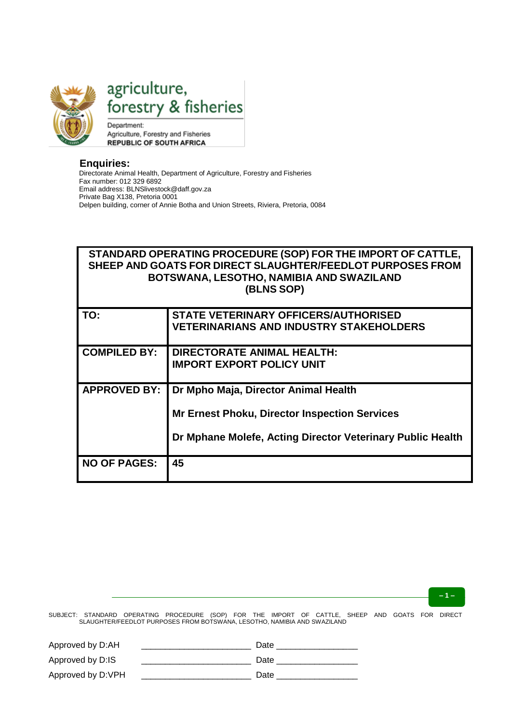

agriculture, forestry & fisheries

Department: Agriculture, Forestry and Fisheries **REPUBLIC OF SOUTH AFRICA** 

## **Enquiries:**

Directorate Animal Health, Department of Agriculture, Forestry and Fisheries Fax number: 012 329 6892 Email address: BLNSlivestock@daff.gov.za Private Bag X138, Pretoria 0001 Delpen building, corner of Annie Botha and Union Streets, Riviera, Pretoria, 0084

# **STANDARD OPERATING PROCEDURE (SOP) FOR THE IMPORT OF CATTLE, SHEEP AND GOATS FOR DIRECT SLAUGHTER/FEEDLOT PURPOSES FROM BOTSWANA, LESOTHO, NAMIBIA AND SWAZILAND (BLNS SOP)**

| TO:                 | <b>STATE VETERINARY OFFICERS/AUTHORISED</b><br><b>VETERINARIANS AND INDUSTRY STAKEHOLDERS</b> |
|---------------------|-----------------------------------------------------------------------------------------------|
|                     |                                                                                               |
| <b>COMPILED BY:</b> | <b>DIRECTORATE ANIMAL HEALTH:</b>                                                             |
|                     | <b>IMPORT EXPORT POLICY UNIT</b>                                                              |
| <b>APPROVED BY:</b> | Dr Mpho Maja, Director Animal Health                                                          |
|                     | <b>Mr Ernest Phoku, Director Inspection Services</b>                                          |
|                     | Dr Mphane Molefe, Acting Director Veterinary Public Health                                    |
| <b>NO OF PAGES:</b> | 45                                                                                            |

**– 1 –**

| Approved by D:AH  | Date |
|-------------------|------|
| Approved by D:IS  | Date |
| Approved by D:VPH | Date |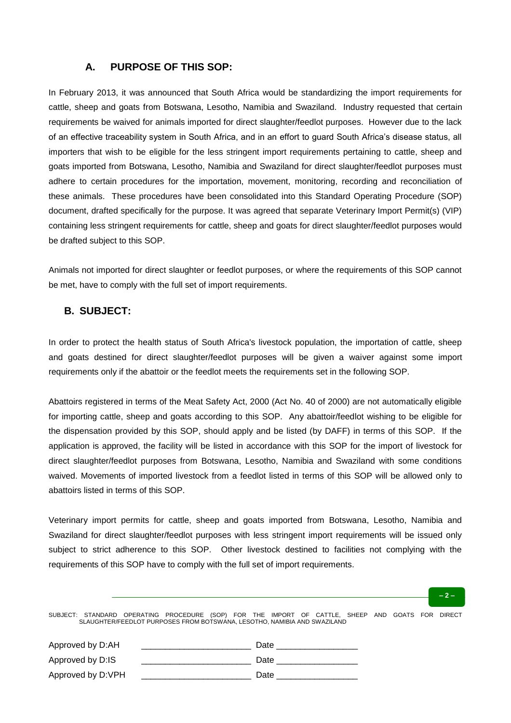## **A. PURPOSE OF THIS SOP:**

In February 2013, it was announced that South Africa would be standardizing the import requirements for cattle, sheep and goats from Botswana, Lesotho, Namibia and Swaziland. Industry requested that certain requirements be waived for animals imported for direct slaughter/feedlot purposes. However due to the lack of an effective traceability system in South Africa, and in an effort to guard South Africa's disease status, all importers that wish to be eligible for the less stringent import requirements pertaining to cattle, sheep and goats imported from Botswana, Lesotho, Namibia and Swaziland for direct slaughter/feedlot purposes must adhere to certain procedures for the importation, movement, monitoring, recording and reconciliation of these animals. These procedures have been consolidated into this Standard Operating Procedure (SOP) document, drafted specifically for the purpose. It was agreed that separate Veterinary Import Permit(s) (VIP) containing less stringent requirements for cattle, sheep and goats for direct slaughter/feedlot purposes would be drafted subject to this SOP.

Animals not imported for direct slaughter or feedlot purposes, or where the requirements of this SOP cannot be met, have to comply with the full set of import requirements.

## **B. SUBJECT:**

In order to protect the health status of South Africa's livestock population, the importation of cattle, sheep and goats destined for direct slaughter/feedlot purposes will be given a waiver against some import requirements only if the abattoir or the feedlot meets the requirements set in the following SOP.

Abattoirs registered in terms of the Meat Safety Act, 2000 (Act No. 40 of 2000) are not automatically eligible for importing cattle, sheep and goats according to this SOP. Any abattoir/feedlot wishing to be eligible for the dispensation provided by this SOP, should apply and be listed (by DAFF) in terms of this SOP. If the application is approved, the facility will be listed in accordance with this SOP for the import of livestock for direct slaughter/feedlot purposes from Botswana, Lesotho, Namibia and Swaziland with some conditions waived. Movements of imported livestock from a feedlot listed in terms of this SOP will be allowed only to abattoirs listed in terms of this SOP.

Veterinary import permits for cattle, sheep and goats imported from Botswana, Lesotho, Namibia and Swaziland for direct slaughter/feedlot purposes with less stringent import requirements will be issued only subject to strict adherence to this SOP. Other livestock destined to facilities not complying with the requirements of this SOP have to comply with the full set of import requirements.

#### **– 2 –**

| Approved by D:AH  | Date |
|-------------------|------|
| Approved by D:IS  | Date |
| Approved by D:VPH | Date |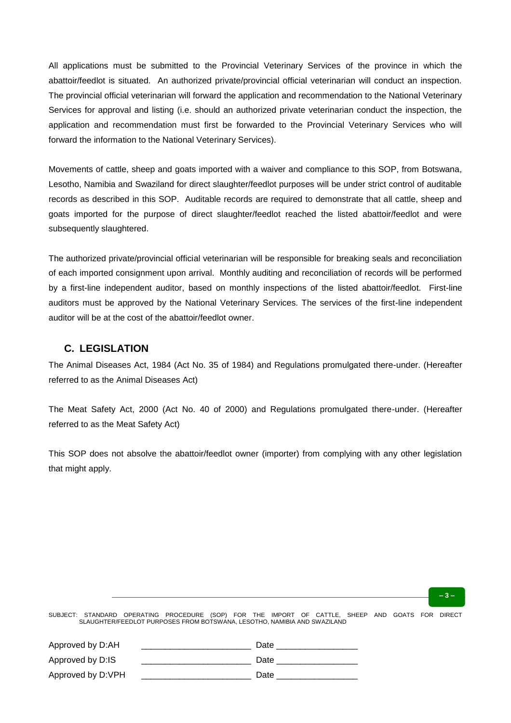All applications must be submitted to the Provincial Veterinary Services of the province in which the abattoir/feedlot is situated. An authorized private/provincial official veterinarian will conduct an inspection. The provincial official veterinarian will forward the application and recommendation to the National Veterinary Services for approval and listing (i.e. should an authorized private veterinarian conduct the inspection, the application and recommendation must first be forwarded to the Provincial Veterinary Services who will forward the information to the National Veterinary Services).

Movements of cattle, sheep and goats imported with a waiver and compliance to this SOP, from Botswana, Lesotho, Namibia and Swaziland for direct slaughter/feedlot purposes will be under strict control of auditable records as described in this SOP. Auditable records are required to demonstrate that all cattle, sheep and goats imported for the purpose of direct slaughter/feedlot reached the listed abattoir/feedlot and were subsequently slaughtered.

The authorized private/provincial official veterinarian will be responsible for breaking seals and reconciliation of each imported consignment upon arrival. Monthly auditing and reconciliation of records will be performed by a first-line independent auditor, based on monthly inspections of the listed abattoir/feedlot. First-line auditors must be approved by the National Veterinary Services. The services of the first-line independent auditor will be at the cost of the abattoir/feedlot owner.

## **C. LEGISLATION**

The Animal Diseases Act, 1984 (Act No. 35 of 1984) and Regulations promulgated there-under. (Hereafter referred to as the Animal Diseases Act)

The Meat Safety Act, 2000 (Act No. 40 of 2000) and Regulations promulgated there-under. (Hereafter referred to as the Meat Safety Act)

This SOP does not absolve the abattoir/feedlot owner (importer) from complying with any other legislation that might apply.

**– 3 –**

| Approved by D:AH  | Date |
|-------------------|------|
| Approved by D:IS  | Date |
| Approved by D:VPH | Date |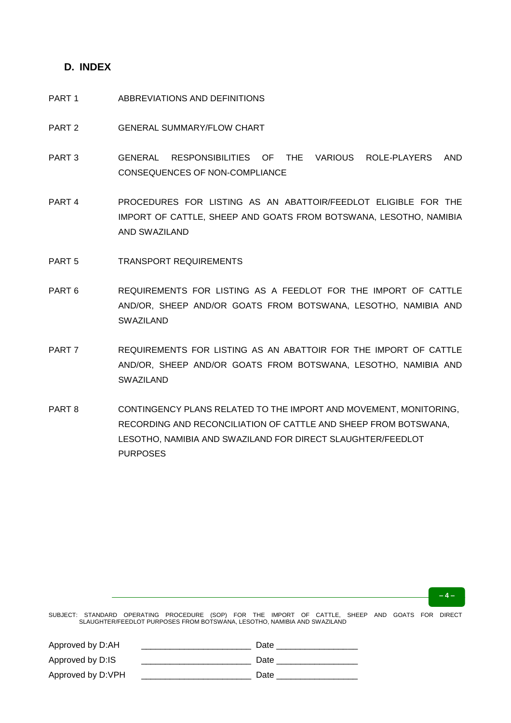## **D. INDEX**

#### PART 1 ABBREVIATIONS AND DEFINITIONS

- PART 2 GENERAL SUMMARY/FLOW CHART
- PART 3 GENERAL RESPONSIBILITIES OF THE VARIOUS ROLE-PLAYERS AND CONSEQUENCES OF NON-COMPLIANCE
- PART 4 PROCEDURES FOR LISTING AS AN ABATTOIR/FEEDLOT ELIGIBLE FOR THE IMPORT OF CATTLE, SHEEP AND GOATS FROM BOTSWANA, LESOTHO, NAMIBIA AND SWAZILAND
- PART 5 TRANSPORT REQUIREMENTS
- PART 6 REQUIREMENTS FOR LISTING AS A FEEDLOT FOR THE IMPORT OF CATTLE AND/OR, SHEEP AND/OR GOATS FROM BOTSWANA, LESOTHO, NAMIBIA AND SWAZILAND
- PART 7 REQUIREMENTS FOR LISTING AS AN ABATTOIR FOR THE IMPORT OF CATTLE AND/OR, SHEEP AND/OR GOATS FROM BOTSWANA, LESOTHO, NAMIBIA AND SWAZILAND
- PART 8 CONTINGENCY PLANS RELATED TO THE IMPORT AND MOVEMENT, MONITORING, RECORDING AND RECONCILIATION OF CATTLE AND SHEEP FROM BOTSWANA, LESOTHO, NAMIBIA AND SWAZILAND FOR DIRECT SLAUGHTER/FEEDLOT PURPOSES

**– 4 –**

| Approved by D:AH  | Date |
|-------------------|------|
| Approved by D:IS  | Date |
| Approved by D:VPH | Date |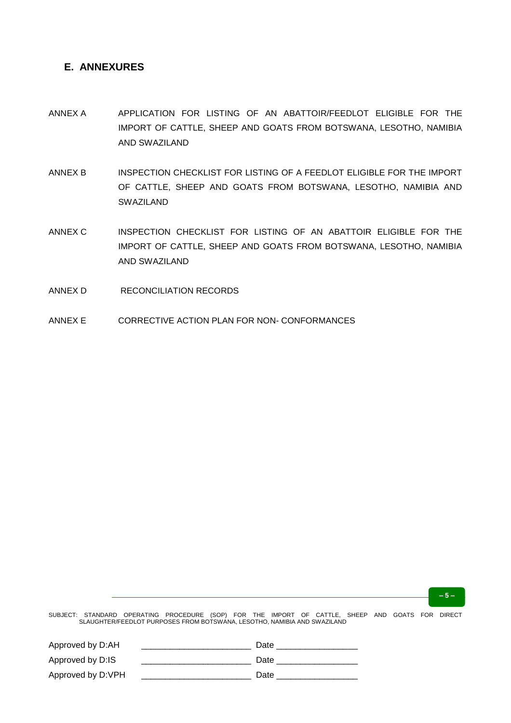# **E. ANNEXURES**

- ANNEX A APPLICATION FOR LISTING OF AN ABATTOIR/FEEDLOT ELIGIBLE FOR THE IMPORT OF CATTLE, SHEEP AND GOATS FROM BOTSWANA, LESOTHO, NAMIBIA AND SWAZILAND
- ANNEX B INSPECTION CHECKLIST FOR LISTING OF A FEEDLOT ELIGIBLE FOR THE IMPORT OF CATTLE, SHEEP AND GOATS FROM BOTSWANA, LESOTHO, NAMIBIA AND SWAZILAND
- ANNEX C INSPECTION CHECKLIST FOR LISTING OF AN ABATTOIR ELIGIBLE FOR THE IMPORT OF CATTLE, SHEEP AND GOATS FROM BOTSWANA, LESOTHO, NAMIBIA AND SWAZILAND
- ANNEX D RECONCILIATION RECORDS
- ANNEX E CORRECTIVE ACTION PLAN FOR NON- CONFORMANCES

**– 5 –**

| Approved by D:AH  | Date |
|-------------------|------|
| Approved by D:IS  | Date |
| Approved by D:VPH | Date |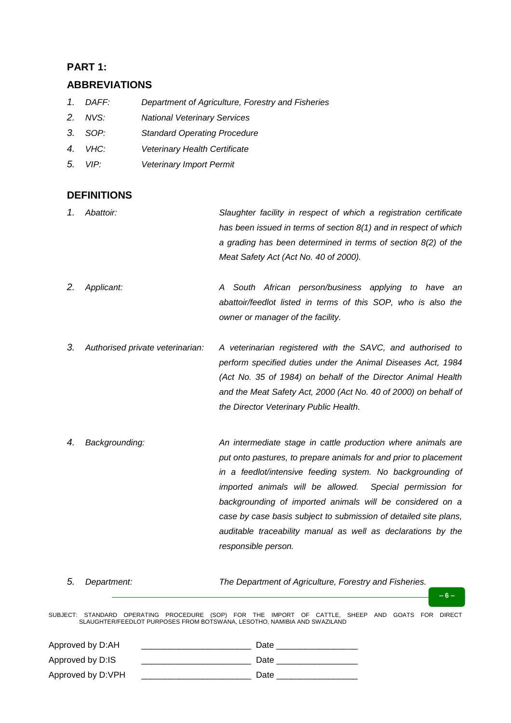# **PART 1:**

# **ABBREVIATIONS**

- *1. DAFF: Department of Agriculture, Forestry and Fisheries*
- *2. NVS: National Veterinary Services*
- *3. SOP: Standard Operating Procedure*
- *4. VHC: Veterinary Health Certificate*
- *5. VIP: Veterinary Import Permit*

# **DEFINITIONS**

- *1. Abattoir: Slaughter facility in respect of which a registration certificate has been issued in terms of section 8(1) and in respect of which a grading has been determined in terms of section 8(2) of the Meat Safety Act (Act No. 40 of 2000).*
- *2. Applicant: A South African person/business applying to have an abattoir/feedlot listed in terms of this SOP, who is also the owner or manager of the facility.*
- *3. Authorised private veterinarian: A veterinarian registered with the SAVC, and authorised to perform specified duties under the Animal Diseases Act, 1984 (Act No. 35 of 1984) on behalf of the Director Animal Health and the Meat Safety Act, 2000 (Act No. 40 of 2000) on behalf of the Director Veterinary Public Health.*
- *4. Backgrounding: An intermediate stage in cattle production where animals are put onto pastures, to prepare animals for and prior to placement in a feedlot/intensive feeding system. No backgrounding of imported animals will be allowed. Special permission for backgrounding of imported animals will be considered on a case by case basis subject to submission of detailed site plans, auditable traceability manual as well as declarations by the responsible person.*

*5. Department: The Department of Agriculture, Forestry and Fisheries.*

SUBJECT: STANDARD OPERATING PROCEDURE (SOP) FOR THE IMPORT OF CATTLE, SHEEP AND GOATS FOR DIRECT SLAUGHTER/FEEDLOT PURPOSES FROM BOTSWANA, LESOTHO, NAMIBIA AND SWAZILAND

**– 6 –**

| Approved by D:AH  | Date |
|-------------------|------|
| Approved by D:IS  | Date |
| Approved by D:VPH | Date |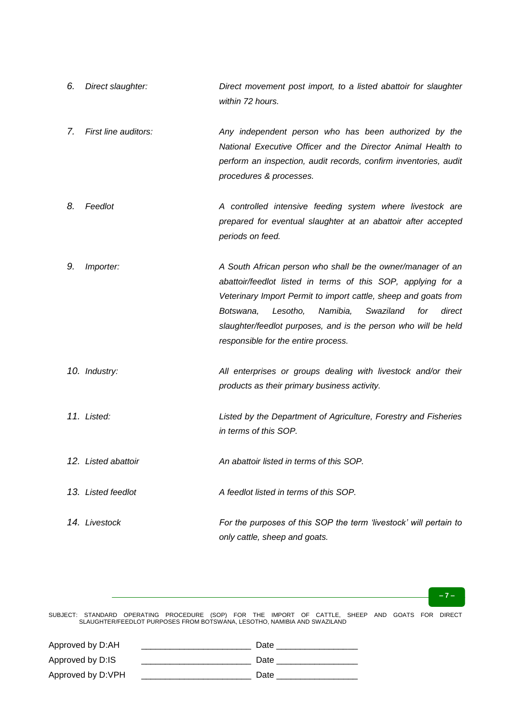- *6. Direct slaughter: Direct movement post import, to a listed abattoir for slaughter within 72 hours.*
- *7. First line auditors: Any independent person who has been authorized by the National Executive Officer and the Director Animal Health to perform an inspection, audit records, confirm inventories, audit procedures & processes.*
- *8. Feedlot A controlled intensive feeding system where livestock are prepared for eventual slaughter at an abattoir after accepted periods on feed.*
- *9. Importer: A South African person who shall be the owner/manager of an abattoir/feedlot listed in terms of this SOP, applying for a Veterinary Import Permit to import cattle, sheep and goats from Botswana, Lesotho, Namibia, Swaziland for direct slaughter/feedlot purposes, and is the person who will be held responsible for the entire process.*
- *10. Industry: All enterprises or groups dealing with livestock and/or their products as their primary business activity.*
- *11. Listed: Listed by the Department of Agriculture, Forestry and Fisheries in terms of this SOP.*
- *12. Listed abattoir An abattoir listed in terms of this SOP.*
- *13. Listed feedlot A feedlot listed in terms of this SOP.*
- *14. Livestock For the purposes of this SOP the term "livestock" will pertain to only cattle, sheep and goats.*

#### **– 7 –**

| Approved by D:AH  | Date |
|-------------------|------|
| Approved by D:IS  | Date |
| Approved by D:VPH | Date |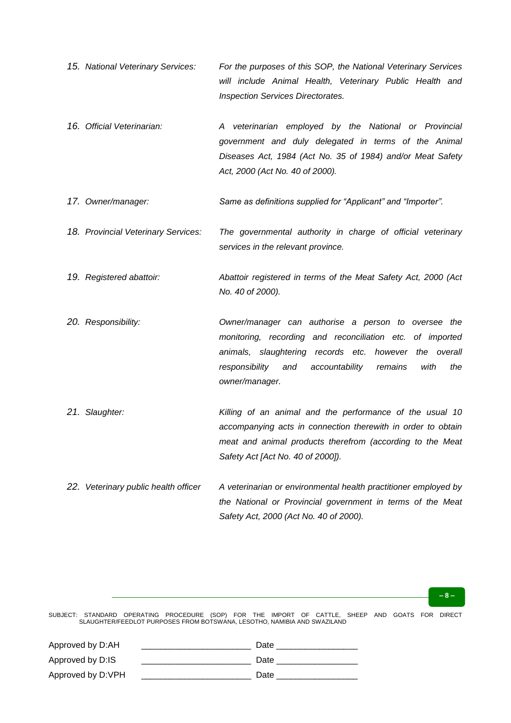- *15. National Veterinary Services: For the purposes of this SOP, the National Veterinary Services will include Animal Health, Veterinary Public Health and Inspection Services Directorates.*
- *16. Official Veterinarian: A veterinarian employed by the National or Provincial government and duly delegated in terms of the Animal Diseases Act, 1984 (Act No. 35 of 1984) and/or Meat Safety Act, 2000 (Act No. 40 of 2000).*
- *17. Owner/manager: Same as definitions supplied for "Applicant" and "Importer".*
- *18. Provincial Veterinary Services: The governmental authority in charge of official veterinary services in the relevant province.*
- *19. Registered abattoir: Abattoir registered in terms of the Meat Safety Act, 2000 (Act No. 40 of 2000).*
- *20. Responsibility: Owner/manager can authorise a person to oversee the monitoring, recording and reconciliation etc. of imported animals, slaughtering records etc. however the overall responsibility and accountability remains with the owner/manager.*
- *21. Slaughter: Killing of an animal and the performance of the usual 10 accompanying acts in connection therewith in order to obtain meat and animal products therefrom (according to the Meat Safety Act [Act No. 40 of 2000]).*
- *22. Veterinary public health officer A veterinarian or environmental health practitioner employed by the National or Provincial government in terms of the Meat Safety Act, 2000 (Act No. 40 of 2000).*

#### **– 8 –**

| Approved by D:AH  | Date |
|-------------------|------|
| Approved by D:IS  | Date |
| Approved by D:VPH | Date |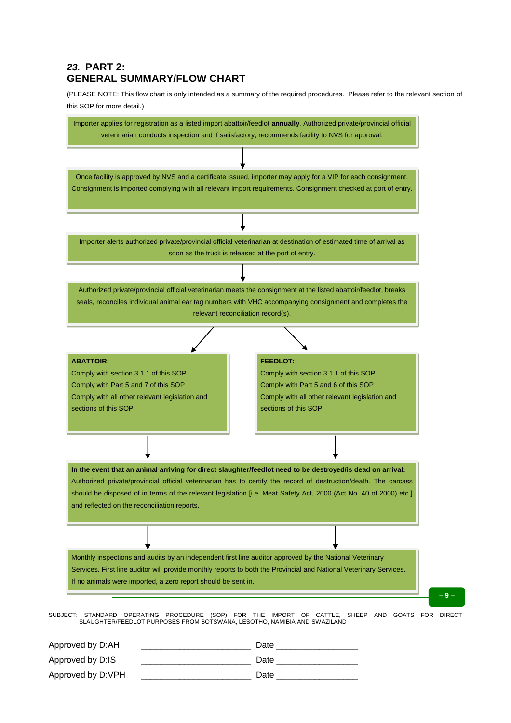# *23.* **PART 2: GENERAL SUMMARY/FLOW CHART**

(PLEASE NOTE: This flow chart is only intended as a summary of the required procedures. Please refer to the relevant section of this SOP for more detail.)



| Approved by D:AH  | Date |
|-------------------|------|
| Approved by D:IS  | Date |
| Approved by D:VPH | Date |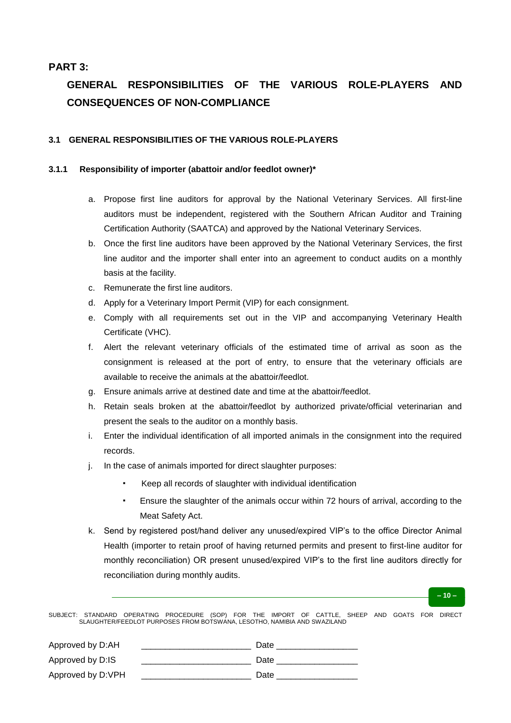# **PART 3:**

# **GENERAL RESPONSIBILITIES OF THE VARIOUS ROLE-PLAYERS AND CONSEQUENCES OF NON-COMPLIANCE**

## **3.1 GENERAL RESPONSIBILITIES OF THE VARIOUS ROLE-PLAYERS**

#### **3.1.1 Responsibility of importer (abattoir and/or feedlot owner)\***

- a. Propose first line auditors for approval by the National Veterinary Services. All first-line auditors must be independent, registered with the Southern African Auditor and Training Certification Authority (SAATCA) and approved by the National Veterinary Services.
- b. Once the first line auditors have been approved by the National Veterinary Services, the first line auditor and the importer shall enter into an agreement to conduct audits on a monthly basis at the facility.
- c. Remunerate the first line auditors.
- d. Apply for a Veterinary Import Permit (VIP) for each consignment.
- e. Comply with all requirements set out in the VIP and accompanying Veterinary Health Certificate (VHC).
- f. Alert the relevant veterinary officials of the estimated time of arrival as soon as the consignment is released at the port of entry, to ensure that the veterinary officials are available to receive the animals at the abattoir/feedlot.
- g. Ensure animals arrive at destined date and time at the abattoir/feedlot.
- h. Retain seals broken at the abattoir/feedlot by authorized private/official veterinarian and present the seals to the auditor on a monthly basis.
- i. Enter the individual identification of all imported animals in the consignment into the required records.
- j. In the case of animals imported for direct slaughter purposes:
	- Keep all records of slaughter with individual identification
	- Ensure the slaughter of the animals occur within 72 hours of arrival, according to the Meat Safety Act.
- k. Send by registered post/hand deliver any unused/expired VIP's to the office Director Animal Health (importer to retain proof of having returned permits and present to first-line auditor for monthly reconciliation) OR present unused/expired VIP's to the first line auditors directly for reconciliation during monthly audits.

**– 10 –**

| Approved by D:AH  | Date |
|-------------------|------|
| Approved by D:IS  | Date |
| Approved by D:VPH | Date |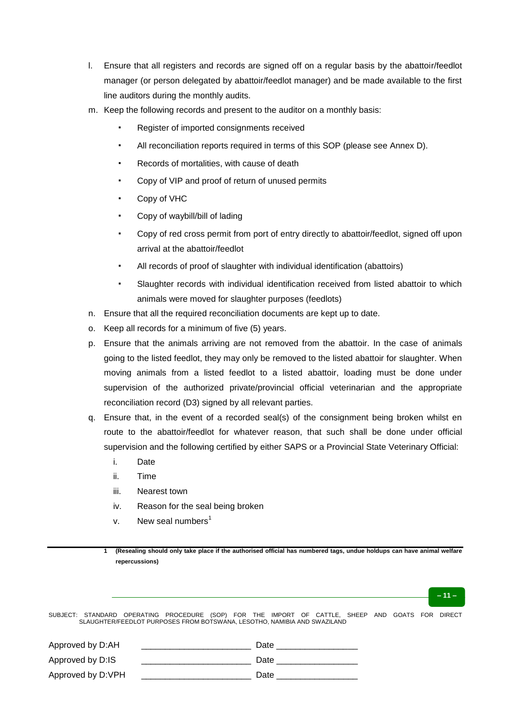- l. Ensure that all registers and records are signed off on a regular basis by the abattoir/feedlot manager (or person delegated by abattoir/feedlot manager) and be made available to the first line auditors during the monthly audits.
- m. Keep the following records and present to the auditor on a monthly basis:
	- Register of imported consignments received
	- All reconciliation reports required in terms of this SOP (please see Annex D).
	- Records of mortalities, with cause of death
	- Copy of VIP and proof of return of unused permits
	- Copy of VHC
	- Copy of waybill/bill of lading
	- Copy of red cross permit from port of entry directly to abattoir/feedlot, signed off upon arrival at the abattoir/feedlot
	- All records of proof of slaughter with individual identification (abattoirs)
	- Slaughter records with individual identification received from listed abattoir to which animals were moved for slaughter purposes (feedlots)
- n. Ensure that all the required reconciliation documents are kept up to date.
- o. Keep all records for a minimum of five (5) years.
- p. Ensure that the animals arriving are not removed from the abattoir. In the case of animals going to the listed feedlot, they may only be removed to the listed abattoir for slaughter. When moving animals from a listed feedlot to a listed abattoir, loading must be done under supervision of the authorized private/provincial official veterinarian and the appropriate reconciliation record (D3) signed by all relevant parties.
- q. Ensure that, in the event of a recorded seal(s) of the consignment being broken whilst en route to the abattoir/feedlot for whatever reason, that such shall be done under official supervision and the following certified by either SAPS or a Provincial State Veterinary Official:
	- i. Date
	- ii. Time
	- iii. Nearest town
	- iv. Reason for the seal being broken
	- v. New seal numbers $<sup>1</sup>$ </sup>

| (Resealing should only take place if the authorised official has numbered tags, undue holdups can have animal welfare |
|-----------------------------------------------------------------------------------------------------------------------|
| repercussions)                                                                                                        |

**– 11 –**

| Approved by D:AH  | Date |
|-------------------|------|
| Approved by D:IS  | Date |
| Approved by D:VPH | Date |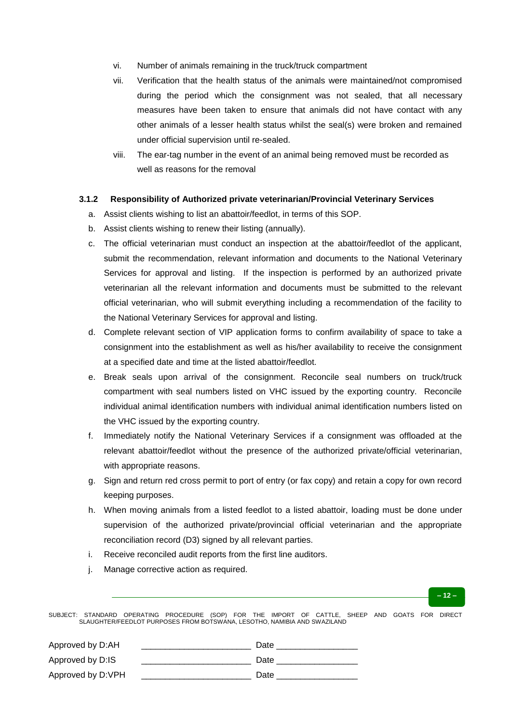- vi. Number of animals remaining in the truck/truck compartment
- vii. Verification that the health status of the animals were maintained/not compromised during the period which the consignment was not sealed, that all necessary measures have been taken to ensure that animals did not have contact with any other animals of a lesser health status whilst the seal(s) were broken and remained under official supervision until re-sealed.
- viii. The ear-tag number in the event of an animal being removed must be recorded as well as reasons for the removal

#### **3.1.2 Responsibility of Authorized private veterinarian/Provincial Veterinary Services**

- a. Assist clients wishing to list an abattoir/feedlot, in terms of this SOP.
- b. Assist clients wishing to renew their listing (annually).
- c. The official veterinarian must conduct an inspection at the abattoir/feedlot of the applicant, submit the recommendation, relevant information and documents to the National Veterinary Services for approval and listing. If the inspection is performed by an authorized private veterinarian all the relevant information and documents must be submitted to the relevant official veterinarian, who will submit everything including a recommendation of the facility to the National Veterinary Services for approval and listing.
- d. Complete relevant section of VIP application forms to confirm availability of space to take a consignment into the establishment as well as his/her availability to receive the consignment at a specified date and time at the listed abattoir/feedlot.
- e. Break seals upon arrival of the consignment. Reconcile seal numbers on truck/truck compartment with seal numbers listed on VHC issued by the exporting country. Reconcile individual animal identification numbers with individual animal identification numbers listed on the VHC issued by the exporting country.
- f. Immediately notify the National Veterinary Services if a consignment was offloaded at the relevant abattoir/feedlot without the presence of the authorized private/official veterinarian, with appropriate reasons.
- g. Sign and return red cross permit to port of entry (or fax copy) and retain a copy for own record keeping purposes.
- h. When moving animals from a listed feedlot to a listed abattoir, loading must be done under supervision of the authorized private/provincial official veterinarian and the appropriate reconciliation record (D3) signed by all relevant parties.
- i. Receive reconciled audit reports from the first line auditors.
- j. Manage corrective action as required.



| Approved by D:AH  | Date |
|-------------------|------|
| Approved by D:IS  | Date |
| Approved by D:VPH | Date |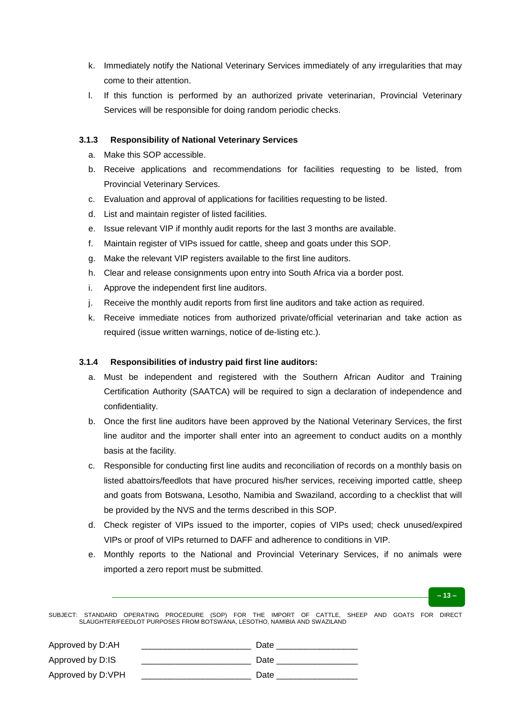- k. Immediately notify the National Veterinary Services immediately of any irregularities that may come to their attention.
- l. If this function is performed by an authorized private veterinarian, Provincial Veterinary Services will be responsible for doing random periodic checks.

## **3.1.3 Responsibility of National Veterinary Services**

- a. Make this SOP accessible.
- b. Receive applications and recommendations for facilities requesting to be listed, from Provincial Veterinary Services.
- c. Evaluation and approval of applications for facilities requesting to be listed.
- d. List and maintain register of listed facilities.
- e. Issue relevant VIP if monthly audit reports for the last 3 months are available.
- f. Maintain register of VIPs issued for cattle, sheep and goats under this SOP.
- g. Make the relevant VIP registers available to the first line auditors.
- h. Clear and release consignments upon entry into South Africa via a border post.
- i. Approve the independent first line auditors.
- j. Receive the monthly audit reports from first line auditors and take action as required.
- k. Receive immediate notices from authorized private/official veterinarian and take action as required (issue written warnings, notice of de-listing etc.).

### **3.1.4 Responsibilities of industry paid first line auditors:**

- a. Must be independent and registered with the Southern African Auditor and Training Certification Authority (SAATCA) will be required to sign a declaration of independence and confidentiality.
- b. Once the first line auditors have been approved by the National Veterinary Services, the first line auditor and the importer shall enter into an agreement to conduct audits on a monthly basis at the facility.
- c. Responsible for conducting first line audits and reconciliation of records on a monthly basis on listed abattoirs/feedlots that have procured his/her services, receiving imported cattle, sheep and goats from Botswana, Lesotho, Namibia and Swaziland, according to a checklist that will be provided by the NVS and the terms described in this SOP.
- d. Check register of VIPs issued to the importer, copies of VIPs used; check unused/expired VIPs or proof of VIPs returned to DAFF and adherence to conditions in VIP.
- e. Monthly reports to the National and Provincial Veterinary Services, if no animals were imported a zero report must be submitted.

**– 13 –**

| Approved by D:AH  | Date |  |
|-------------------|------|--|
| Approved by D:IS  | Date |  |
| Approved by D:VPH | Date |  |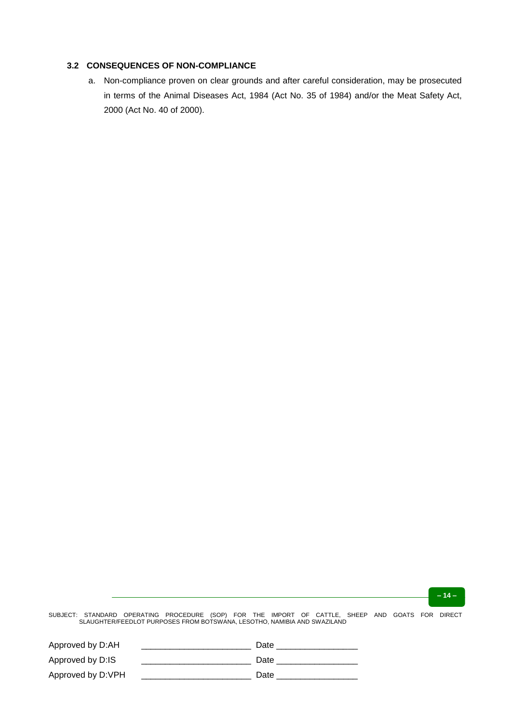#### **3.2 CONSEQUENCES OF NON-COMPLIANCE**

a. Non-compliance proven on clear grounds and after careful consideration, may be prosecuted in terms of the Animal Diseases Act, 1984 (Act No. 35 of 1984) and/or the Meat Safety Act, 2000 (Act No. 40 of 2000).

**– 14 –**

| Approved by D:AH  | Date |
|-------------------|------|
| Approved by D:IS  | Date |
| Approved by D:VPH | Date |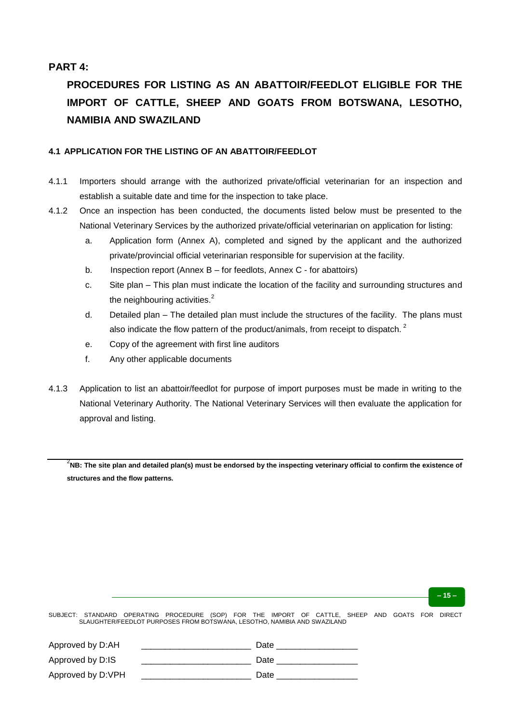## **PART 4:**

# **PROCEDURES FOR LISTING AS AN ABATTOIR/FEEDLOT ELIGIBLE FOR THE IMPORT OF CATTLE, SHEEP AND GOATS FROM BOTSWANA, LESOTHO, NAMIBIA AND SWAZILAND**

#### **4.1 APPLICATION FOR THE LISTING OF AN ABATTOIR/FEEDLOT**

- 4.1.1 Importers should arrange with the authorized private/official veterinarian for an inspection and establish a suitable date and time for the inspection to take place.
- 4.1.2 Once an inspection has been conducted, the documents listed below must be presented to the National Veterinary Services by the authorized private/official veterinarian on application for listing:
	- a. Application form (Annex A), completed and signed by the applicant and the authorized private/provincial official veterinarian responsible for supervision at the facility.
	- b. Inspection report (Annex B for feedlots, Annex C for abattoirs)
	- c. Site plan This plan must indicate the location of the facility and surrounding structures and the neighbouring activities. $<sup>2</sup>$ </sup>
	- d. Detailed plan The detailed plan must include the structures of the facility. The plans must also indicate the flow pattern of the product/animals, from receipt to dispatch.<sup>2</sup>
	- e. Copy of the agreement with first line auditors
	- f. Any other applicable documents
- 4.1.3 Application to list an abattoir/feedlot for purpose of import purposes must be made in writing to the National Veterinary Authority. The National Veterinary Services will then evaluate the application for approval and listing.

 $^2$ NB: The site plan and detailed plan(s) must be endorsed by the inspecting veterinary official to confirm the existence of **structures and the flow patterns.**

**– 15 –**

| Approved by D:AH  | Date |
|-------------------|------|
| Approved by D:IS  | Date |
| Approved by D:VPH | Date |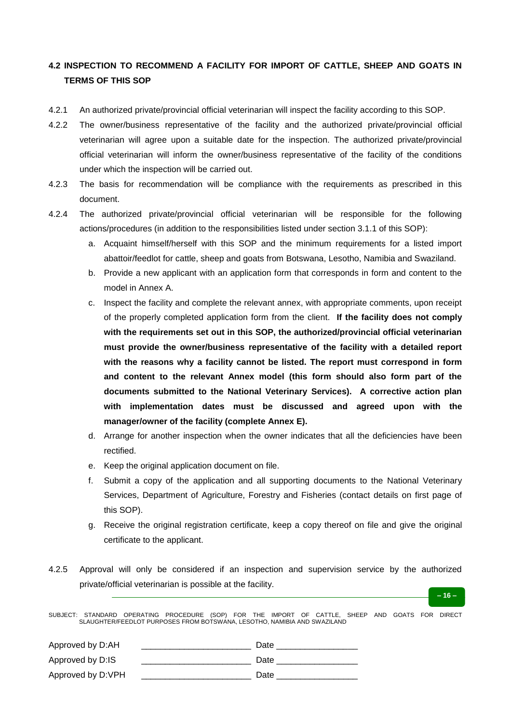# **4.2 INSPECTION TO RECOMMEND A FACILITY FOR IMPORT OF CATTLE, SHEEP AND GOATS IN TERMS OF THIS SOP**

- 4.2.1 An authorized private/provincial official veterinarian will inspect the facility according to this SOP.
- 4.2.2 The owner/business representative of the facility and the authorized private/provincial official veterinarian will agree upon a suitable date for the inspection. The authorized private/provincial official veterinarian will inform the owner/business representative of the facility of the conditions under which the inspection will be carried out.
- 4.2.3 The basis for recommendation will be compliance with the requirements as prescribed in this document.
- 4.2.4 The authorized private/provincial official veterinarian will be responsible for the following actions/procedures (in addition to the responsibilities listed under section 3.1.1 of this SOP):
	- a. Acquaint himself/herself with this SOP and the minimum requirements for a listed import abattoir/feedlot for cattle, sheep and goats from Botswana, Lesotho, Namibia and Swaziland.
	- b. Provide a new applicant with an application form that corresponds in form and content to the model in Annex A.
	- c. Inspect the facility and complete the relevant annex, with appropriate comments, upon receipt of the properly completed application form from the client. **If the facility does not comply with the requirements set out in this SOP, the authorized/provincial official veterinarian must provide the owner/business representative of the facility with a detailed report with the reasons why a facility cannot be listed. The report must correspond in form and content to the relevant Annex model (this form should also form part of the documents submitted to the National Veterinary Services). A corrective action plan with implementation dates must be discussed and agreed upon with the manager/owner of the facility (complete Annex E).**
	- d. Arrange for another inspection when the owner indicates that all the deficiencies have been rectified.
	- e. Keep the original application document on file.
	- f. Submit a copy of the application and all supporting documents to the National Veterinary Services, Department of Agriculture, Forestry and Fisheries (contact details on first page of this SOP).
	- g. Receive the original registration certificate, keep a copy thereof on file and give the original certificate to the applicant.

**– 16 –**

4.2.5 Approval will only be considered if an inspection and supervision service by the authorized private/official veterinarian is possible at the facility.

| Approved by D:AH  | Date |
|-------------------|------|
| Approved by D:IS  | Date |
| Approved by D:VPH | Date |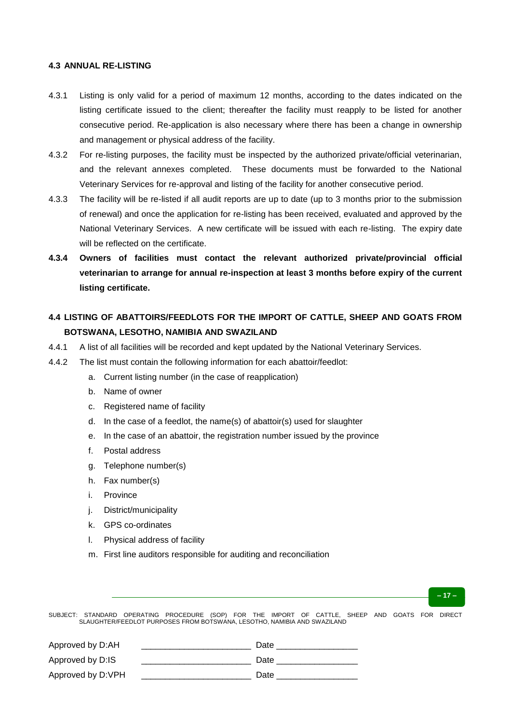#### **4.3 ANNUAL RE-LISTING**

- 4.3.1 Listing is only valid for a period of maximum 12 months, according to the dates indicated on the listing certificate issued to the client; thereafter the facility must reapply to be listed for another consecutive period. Re-application is also necessary where there has been a change in ownership and management or physical address of the facility.
- 4.3.2 For re-listing purposes, the facility must be inspected by the authorized private/official veterinarian, and the relevant annexes completed. These documents must be forwarded to the National Veterinary Services for re-approval and listing of the facility for another consecutive period.
- 4.3.3 The facility will be re-listed if all audit reports are up to date (up to 3 months prior to the submission of renewal) and once the application for re-listing has been received, evaluated and approved by the National Veterinary Services. A new certificate will be issued with each re-listing. The expiry date will be reflected on the certificate.
- **4.3.4 Owners of facilities must contact the relevant authorized private/provincial official veterinarian to arrange for annual re-inspection at least 3 months before expiry of the current listing certificate.**

# **4.4 LISTING OF ABATTOIRS/FEEDLOTS FOR THE IMPORT OF CATTLE, SHEEP AND GOATS FROM BOTSWANA, LESOTHO, NAMIBIA AND SWAZILAND**

- 4.4.1 A list of all facilities will be recorded and kept updated by the National Veterinary Services.
- 4.4.2 The list must contain the following information for each abattoir/feedlot:
	- a. Current listing number (in the case of reapplication)
	- b. Name of owner
	- c. Registered name of facility
	- d. In the case of a feedlot, the name(s) of abattoir(s) used for slaughter
	- e. In the case of an abattoir, the registration number issued by the province
	- f. Postal address
	- g. Telephone number(s)
	- h. Fax number(s)
	- i. Province
	- j. District/municipality
	- k. GPS co-ordinates
	- l. Physical address of facility
	- m. First line auditors responsible for auditing and reconciliation

SUBJECT: STANDARD OPERATING PROCEDURE (SOP) FOR THE IMPORT OF CATTLE, SHEEP AND GOATS FOR DIRECT SLAUGHTER/FEEDLOT PURPOSES FROM BOTSWANA, LESOTHO, NAMIBIA AND SWAZILAND

**– 17 –**

| Approved by D:AH  | Date |
|-------------------|------|
| Approved by D:IS  | Date |
| Approved by D:VPH | Date |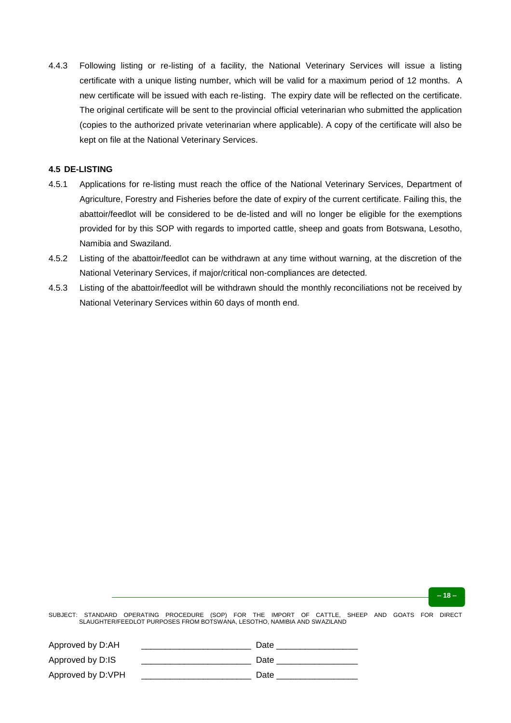4.4.3 Following listing or re-listing of a facility, the National Veterinary Services will issue a listing certificate with a unique listing number, which will be valid for a maximum period of 12 months. A new certificate will be issued with each re-listing. The expiry date will be reflected on the certificate. The original certificate will be sent to the provincial official veterinarian who submitted the application (copies to the authorized private veterinarian where applicable). A copy of the certificate will also be kept on file at the National Veterinary Services.

### **4.5 DE-LISTING**

- 4.5.1 Applications for re-listing must reach the office of the National Veterinary Services, Department of Agriculture, Forestry and Fisheries before the date of expiry of the current certificate. Failing this, the abattoir/feedlot will be considered to be de-listed and will no longer be eligible for the exemptions provided for by this SOP with regards to imported cattle, sheep and goats from Botswana, Lesotho, Namibia and Swaziland.
- 4.5.2 Listing of the abattoir/feedlot can be withdrawn at any time without warning, at the discretion of the National Veterinary Services, if major/critical non-compliances are detected.
- 4.5.3 Listing of the abattoir/feedlot will be withdrawn should the monthly reconciliations not be received by National Veterinary Services within 60 days of month end.

| Approved by D:AH  | Date |
|-------------------|------|
| Approved by D:IS  | Date |
| Approved by D:VPH | Date |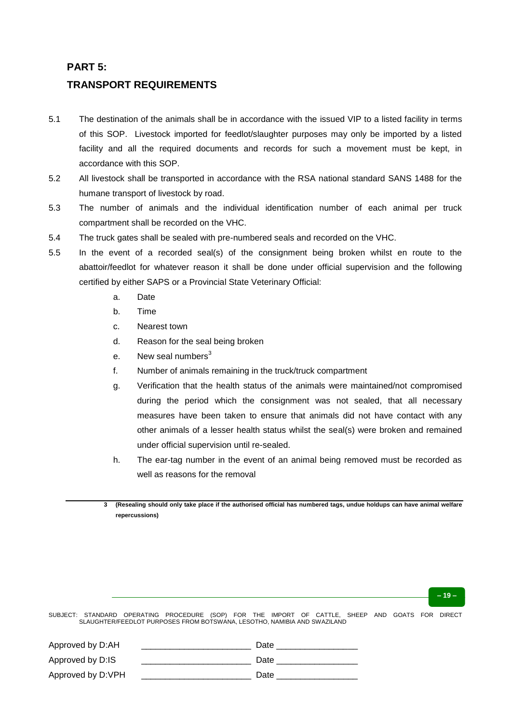## **PART 5:**

## **TRANSPORT REQUIREMENTS**

- 5.1 The destination of the animals shall be in accordance with the issued VIP to a listed facility in terms of this SOP. Livestock imported for feedlot/slaughter purposes may only be imported by a listed facility and all the required documents and records for such a movement must be kept, in accordance with this SOP.
- 5.2 All livestock shall be transported in accordance with the RSA national standard SANS 1488 for the humane transport of livestock by road.
- 5.3 The number of animals and the individual identification number of each animal per truck compartment shall be recorded on the VHC.
- 5.4 The truck gates shall be sealed with pre-numbered seals and recorded on the VHC.
- 5.5 In the event of a recorded seal(s) of the consignment being broken whilst en route to the abattoir/feedlot for whatever reason it shall be done under official supervision and the following certified by either SAPS or a Provincial State Veterinary Official:
	- a. Date
	- b. Time
	- c. Nearest town
	- d. Reason for the seal being broken
	- e. New seal numbers $3$
	- f. Number of animals remaining in the truck/truck compartment
	- g. Verification that the health status of the animals were maintained/not compromised during the period which the consignment was not sealed, that all necessary measures have been taken to ensure that animals did not have contact with any other animals of a lesser health status whilst the seal(s) were broken and remained under official supervision until re-sealed.
	- h. The ear-tag number in the event of an animal being removed must be recorded as well as reasons for the removal
	- **3 (Resealing should only take place if the authorised official has numbered tags, undue holdups can have animal welfare repercussions)**

#### **– 19 –**

| Approved by D:AH  | Date |
|-------------------|------|
| Approved by D:IS  | Date |
| Approved by D:VPH | Date |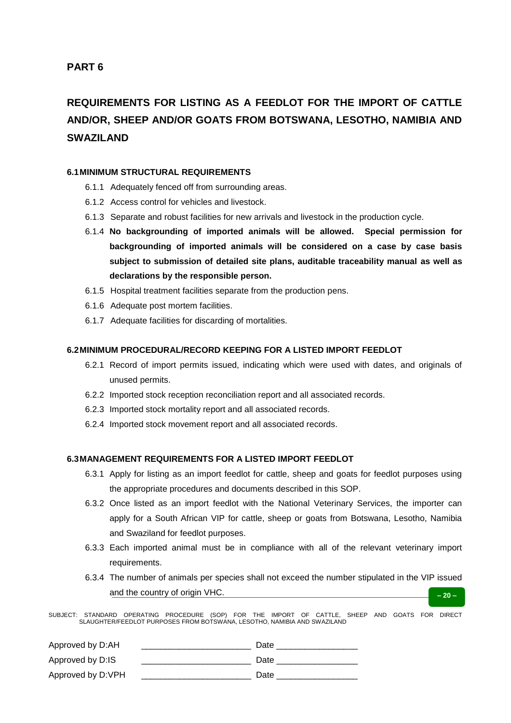# **REQUIREMENTS FOR LISTING AS A FEEDLOT FOR THE IMPORT OF CATTLE AND/OR, SHEEP AND/OR GOATS FROM BOTSWANA, LESOTHO, NAMIBIA AND SWAZILAND**

#### **6.1MINIMUM STRUCTURAL REQUIREMENTS**

- 6.1.1 Adequately fenced off from surrounding areas.
- 6.1.2 Access control for vehicles and livestock.
- 6.1.3 Separate and robust facilities for new arrivals and livestock in the production cycle.
- 6.1.4 **No backgrounding of imported animals will be allowed. Special permission for backgrounding of imported animals will be considered on a case by case basis subject to submission of detailed site plans, auditable traceability manual as well as declarations by the responsible person.**
- 6.1.5 Hospital treatment facilities separate from the production pens.
- 6.1.6 Adequate post mortem facilities.
- 6.1.7 Adequate facilities for discarding of mortalities.

#### **6.2MINIMUM PROCEDURAL/RECORD KEEPING FOR A LISTED IMPORT FEEDLOT**

- 6.2.1 Record of import permits issued, indicating which were used with dates, and originals of unused permits.
- 6.2.2 Imported stock reception reconciliation report and all associated records.
- 6.2.3 Imported stock mortality report and all associated records.
- 6.2.4 Imported stock movement report and all associated records.

### **6.3MANAGEMENT REQUIREMENTS FOR A LISTED IMPORT FEEDLOT**

- 6.3.1 Apply for listing as an import feedlot for cattle, sheep and goats for feedlot purposes using the appropriate procedures and documents described in this SOP.
- 6.3.2 Once listed as an import feedlot with the National Veterinary Services, the importer can apply for a South African VIP for cattle, sheep or goats from Botswana, Lesotho, Namibia and Swaziland for feedlot purposes.
- 6.3.3 Each imported animal must be in compliance with all of the relevant veterinary import requirements.
- **– 20 –** 6.3.4 The number of animals per species shall not exceed the number stipulated in the VIP issued and the country of origin VHC.

| Approved by D:AH  | Date |
|-------------------|------|
| Approved by D:IS  | Date |
| Approved by D:VPH | Date |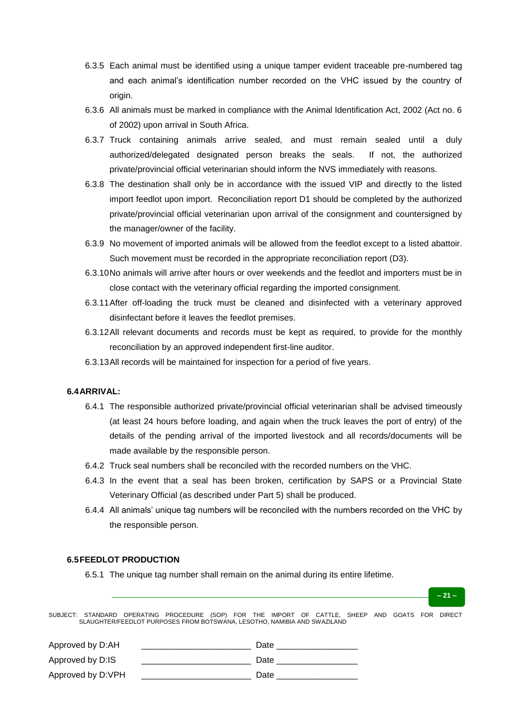- 6.3.5 Each animal must be identified using a unique tamper evident traceable pre-numbered tag and each animal's identification number recorded on the VHC issued by the country of origin.
- 6.3.6 All animals must be marked in compliance with the Animal Identification Act, 2002 (Act no. 6 of 2002) upon arrival in South Africa.
- 6.3.7 Truck containing animals arrive sealed, and must remain sealed until a duly authorized/delegated designated person breaks the seals. If not, the authorized private/provincial official veterinarian should inform the NVS immediately with reasons.
- 6.3.8 The destination shall only be in accordance with the issued VIP and directly to the listed import feedlot upon import. Reconciliation report D1 should be completed by the authorized private/provincial official veterinarian upon arrival of the consignment and countersigned by the manager/owner of the facility.
- 6.3.9 No movement of imported animals will be allowed from the feedlot except to a listed abattoir. Such movement must be recorded in the appropriate reconciliation report (D3).
- 6.3.10No animals will arrive after hours or over weekends and the feedlot and importers must be in close contact with the veterinary official regarding the imported consignment.
- 6.3.11After off-loading the truck must be cleaned and disinfected with a veterinary approved disinfectant before it leaves the feedlot premises.
- 6.3.12All relevant documents and records must be kept as required, to provide for the monthly reconciliation by an approved independent first-line auditor.
- 6.3.13All records will be maintained for inspection for a period of five years.

### **6.4ARRIVAL:**

- 6.4.1 The responsible authorized private/provincial official veterinarian shall be advised timeously (at least 24 hours before loading, and again when the truck leaves the port of entry) of the details of the pending arrival of the imported livestock and all records/documents will be made available by the responsible person.
- 6.4.2 Truck seal numbers shall be reconciled with the recorded numbers on the VHC.
- 6.4.3 In the event that a seal has been broken, certification by SAPS or a Provincial State Veterinary Official (as described under Part 5) shall be produced.
- 6.4.4 All animals' unique tag numbers will be reconciled with the numbers recorded on the VHC by the responsible person.

### **6.5FEEDLOT PRODUCTION**

6.5.1 The unique tag number shall remain on the animal during its entire lifetime.

SUBJECT: STANDARD OPERATING PROCEDURE (SOP) FOR THE IMPORT OF CATTLE, SHEEP AND GOATS FOR DIRECT SLAUGHTER/FEEDLOT PURPOSES FROM BOTSWANA, LESOTHO, NAMIBIA AND SWAZILAND

| Approved by D:AH  | Date |
|-------------------|------|
| Approved by D:IS  | Date |
| Approved by D:VPH | Date |

**– 21 –**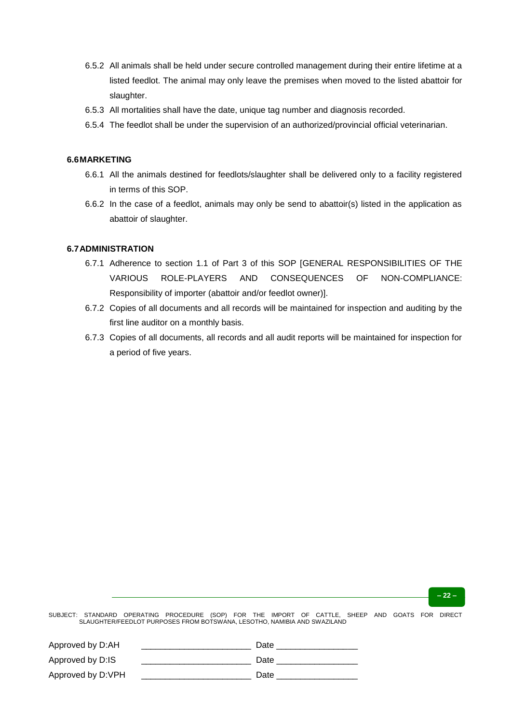- 6.5.2 All animals shall be held under secure controlled management during their entire lifetime at a listed feedlot. The animal may only leave the premises when moved to the listed abattoir for slaughter.
- 6.5.3 All mortalities shall have the date, unique tag number and diagnosis recorded.
- 6.5.4 The feedlot shall be under the supervision of an authorized/provincial official veterinarian.

#### **6.6MARKETING**

- 6.6.1 All the animals destined for feedlots/slaughter shall be delivered only to a facility registered in terms of this SOP.
- 6.6.2 In the case of a feedlot, animals may only be send to abattoir(s) listed in the application as abattoir of slaughter.

#### **6.7ADMINISTRATION**

- 6.7.1 Adherence to section 1.1 of Part 3 of this SOP [GENERAL RESPONSIBILITIES OF THE VARIOUS ROLE-PLAYERS AND CONSEQUENCES OF NON-COMPLIANCE: Responsibility of importer (abattoir and/or feedlot owner)].
- 6.7.2 Copies of all documents and all records will be maintained for inspection and auditing by the first line auditor on a monthly basis.
- 6.7.3 Copies of all documents, all records and all audit reports will be maintained for inspection for a period of five years.

**– 22 –**

| Approved by D:AH  | Date |
|-------------------|------|
| Approved by D:IS  | Date |
| Approved by D:VPH | Date |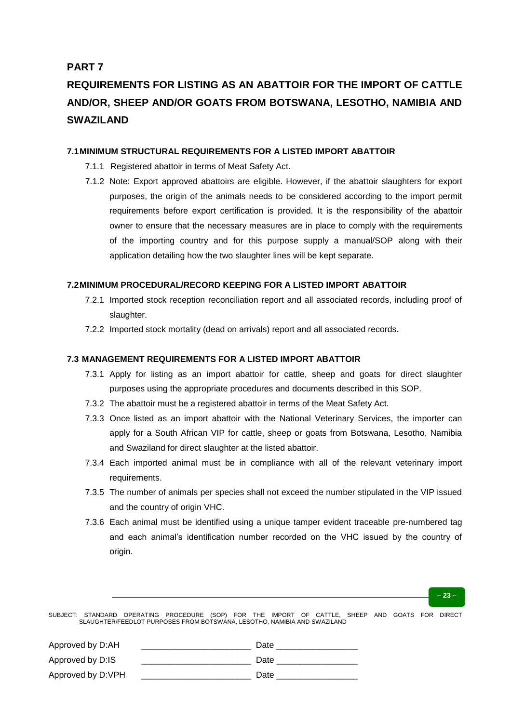# **PART 7**

# **REQUIREMENTS FOR LISTING AS AN ABATTOIR FOR THE IMPORT OF CATTLE AND/OR, SHEEP AND/OR GOATS FROM BOTSWANA, LESOTHO, NAMIBIA AND SWAZILAND**

### **7.1MINIMUM STRUCTURAL REQUIREMENTS FOR A LISTED IMPORT ABATTOIR**

- 7.1.1 Registered abattoir in terms of Meat Safety Act.
- 7.1.2 Note: Export approved abattoirs are eligible. However, if the abattoir slaughters for export purposes, the origin of the animals needs to be considered according to the import permit requirements before export certification is provided. It is the responsibility of the abattoir owner to ensure that the necessary measures are in place to comply with the requirements of the importing country and for this purpose supply a manual/SOP along with their application detailing how the two slaughter lines will be kept separate.

## **7.2MINIMUM PROCEDURAL/RECORD KEEPING FOR A LISTED IMPORT ABATTOIR**

- 7.2.1 Imported stock reception reconciliation report and all associated records, including proof of slaughter.
- 7.2.2 Imported stock mortality (dead on arrivals) report and all associated records.

## **7.3 MANAGEMENT REQUIREMENTS FOR A LISTED IMPORT ABATTOIR**

- 7.3.1 Apply for listing as an import abattoir for cattle, sheep and goats for direct slaughter purposes using the appropriate procedures and documents described in this SOP.
- 7.3.2 The abattoir must be a registered abattoir in terms of the Meat Safety Act.
- 7.3.3 Once listed as an import abattoir with the National Veterinary Services, the importer can apply for a South African VIP for cattle, sheep or goats from Botswana, Lesotho, Namibia and Swaziland for direct slaughter at the listed abattoir.
- 7.3.4 Each imported animal must be in compliance with all of the relevant veterinary import requirements.
- 7.3.5 The number of animals per species shall not exceed the number stipulated in the VIP issued and the country of origin VHC.
- 7.3.6 Each animal must be identified using a unique tamper evident traceable pre-numbered tag and each animal's identification number recorded on the VHC issued by the country of origin.

#### **– 23 –**

| Approved by D:AH  | Date |
|-------------------|------|
| Approved by D:IS  | Date |
| Approved by D:VPH | Date |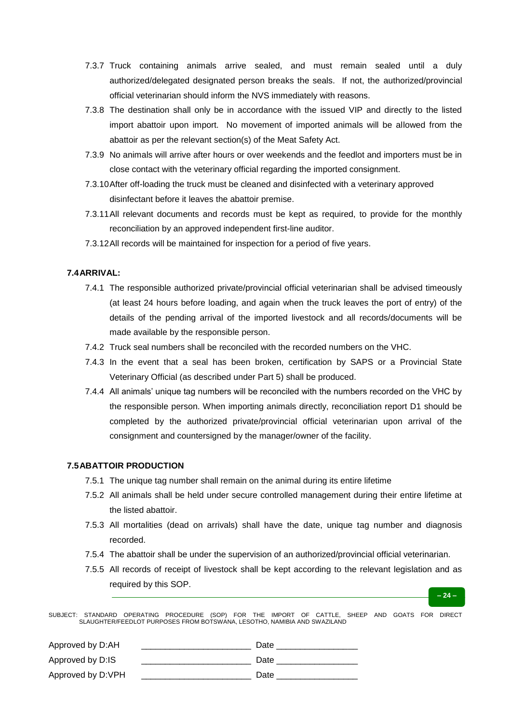- 7.3.7 Truck containing animals arrive sealed, and must remain sealed until a duly authorized/delegated designated person breaks the seals. If not, the authorized/provincial official veterinarian should inform the NVS immediately with reasons.
- 7.3.8 The destination shall only be in accordance with the issued VIP and directly to the listed import abattoir upon import. No movement of imported animals will be allowed from the abattoir as per the relevant section(s) of the Meat Safety Act.
- 7.3.9 No animals will arrive after hours or over weekends and the feedlot and importers must be in close contact with the veterinary official regarding the imported consignment.
- 7.3.10After off-loading the truck must be cleaned and disinfected with a veterinary approved disinfectant before it leaves the abattoir premise.
- 7.3.11All relevant documents and records must be kept as required, to provide for the monthly reconciliation by an approved independent first-line auditor.
- 7.3.12All records will be maintained for inspection for a period of five years.

#### **7.4ARRIVAL:**

- 7.4.1 The responsible authorized private/provincial official veterinarian shall be advised timeously (at least 24 hours before loading, and again when the truck leaves the port of entry) of the details of the pending arrival of the imported livestock and all records/documents will be made available by the responsible person.
- 7.4.2 Truck seal numbers shall be reconciled with the recorded numbers on the VHC.
- 7.4.3 In the event that a seal has been broken, certification by SAPS or a Provincial State Veterinary Official (as described under Part 5) shall be produced.
- 7.4.4 All animals' unique tag numbers will be reconciled with the numbers recorded on the VHC by the responsible person. When importing animals directly, reconciliation report D1 should be completed by the authorized private/provincial official veterinarian upon arrival of the consignment and countersigned by the manager/owner of the facility.

### **7.5ABATTOIR PRODUCTION**

- 7.5.1 The unique tag number shall remain on the animal during its entire lifetime
- 7.5.2 All animals shall be held under secure controlled management during their entire lifetime at the listed abattoir.
- 7.5.3 All mortalities (dead on arrivals) shall have the date, unique tag number and diagnosis recorded.
- 7.5.4 The abattoir shall be under the supervision of an authorized/provincial official veterinarian.
- 7.5.5 All records of receipt of livestock shall be kept according to the relevant legislation and as required by this SOP.

**– 24 –**

| Approved by D:AH  | Date |
|-------------------|------|
| Approved by D:IS  | Date |
| Approved by D:VPH | Date |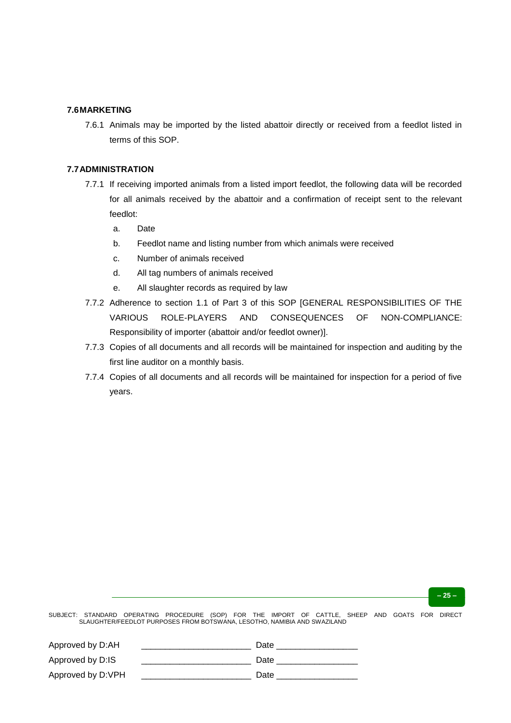#### **7.6MARKETING**

7.6.1 Animals may be imported by the listed abattoir directly or received from a feedlot listed in terms of this SOP.

#### **7.7ADMINISTRATION**

- 7.7.1 If receiving imported animals from a listed import feedlot, the following data will be recorded for all animals received by the abattoir and a confirmation of receipt sent to the relevant feedlot:
	- a. Date
	- b. Feedlot name and listing number from which animals were received
	- c. Number of animals received
	- d. All tag numbers of animals received
	- e. All slaughter records as required by law
- 7.7.2 Adherence to section 1.1 of Part 3 of this SOP [GENERAL RESPONSIBILITIES OF THE VARIOUS ROLE-PLAYERS AND CONSEQUENCES OF NON-COMPLIANCE: Responsibility of importer (abattoir and/or feedlot owner)].
- 7.7.3 Copies of all documents and all records will be maintained for inspection and auditing by the first line auditor on a monthly basis.
- 7.7.4 Copies of all documents and all records will be maintained for inspection for a period of five years.

**– 25 –**

| Approved by D:AH  | Date |
|-------------------|------|
| Approved by D:IS  | Date |
| Approved by D:VPH | Date |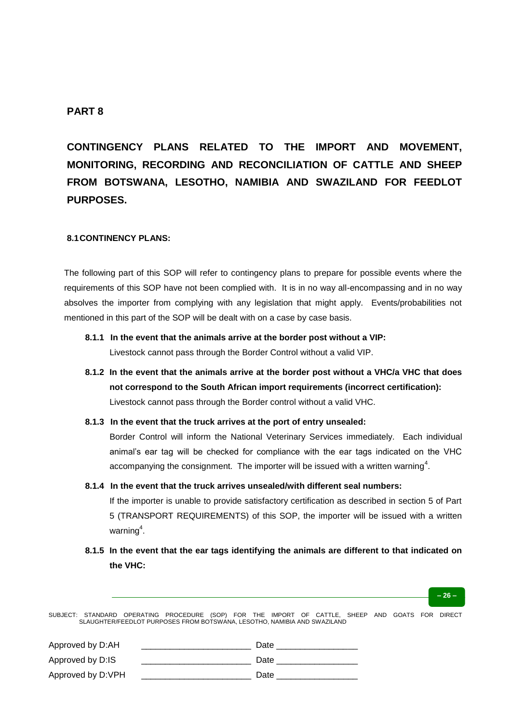# **PART 8**

**CONTINGENCY PLANS RELATED TO THE IMPORT AND MOVEMENT, MONITORING, RECORDING AND RECONCILIATION OF CATTLE AND SHEEP FROM BOTSWANA, LESOTHO, NAMIBIA AND SWAZILAND FOR FEEDLOT PURPOSES.**

#### **8.1CONTINENCY PLANS:**

The following part of this SOP will refer to contingency plans to prepare for possible events where the requirements of this SOP have not been complied with. It is in no way all-encompassing and in no way absolves the importer from complying with any legislation that might apply. Events/probabilities not mentioned in this part of the SOP will be dealt with on a case by case basis.

- **8.1.1 In the event that the animals arrive at the border post without a VIP:** Livestock cannot pass through the Border Control without a valid VIP.
- **8.1.2 In the event that the animals arrive at the border post without a VHC/a VHC that does not correspond to the South African import requirements (incorrect certification):** Livestock cannot pass through the Border control without a valid VHC.
- **8.1.3 In the event that the truck arrives at the port of entry unsealed:**

Border Control will inform the National Veterinary Services immediately. Each individual animal's ear tag will be checked for compliance with the ear tags indicated on the VHC accompanying the consignment. The importer will be issued with a written warning<sup>4</sup>.

**8.1.4 In the event that the truck arrives unsealed/with different seal numbers:**

If the importer is unable to provide satisfactory certification as described in section 5 of Part 5 (TRANSPORT REQUIREMENTS) of this SOP, the importer will be issued with a written warning $\raisebox{.15\baselineskip}{\hspace{.15ex}\raisebox{.15ex}{$\scriptscriptstyle\mathfrak{g}$}}$ 

**– 26 –**

**8.1.5 In the event that the ear tags identifying the animals are different to that indicated on the VHC:**

| Approved by D:AH  | Date |
|-------------------|------|
| Approved by D:IS  | Date |
| Approved by D:VPH | Date |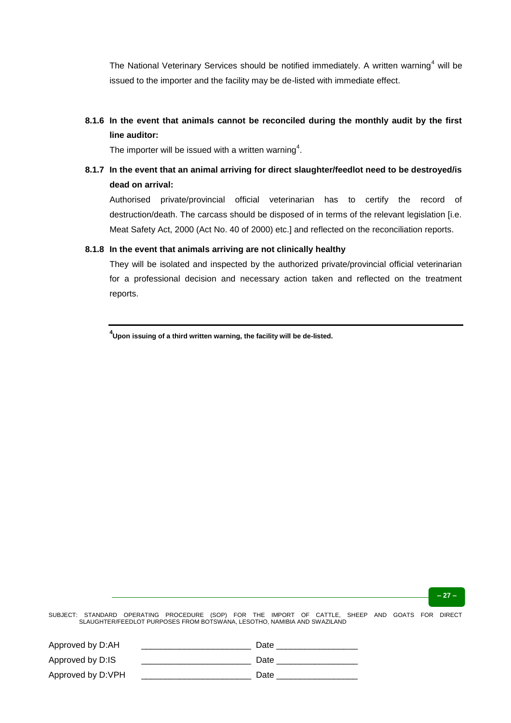The National Veterinary Services should be notified immediately. A written warning<sup>4</sup> will be issued to the importer and the facility may be de-listed with immediate effect.

# **8.1.6 In the event that animals cannot be reconciled during the monthly audit by the first line auditor:**

The importer will be issued with a written warning $\rm ^4$ .

# **8.1.7 In the event that an animal arriving for direct slaughter/feedlot need to be destroyed/is dead on arrival:**

Authorised private/provincial official veterinarian has to certify the record of destruction/death. The carcass should be disposed of in terms of the relevant legislation [i.e. Meat Safety Act, 2000 (Act No. 40 of 2000) etc.] and reflected on the reconciliation reports.

### **8.1.8 In the event that animals arriving are not clinically healthy**

They will be isolated and inspected by the authorized private/provincial official veterinarian for a professional decision and necessary action taken and reflected on the treatment reports.

**4 Upon issuing of a third written warning, the facility will be de-listed.**

**– 27 –**

| Approved by D:AH  | Date |
|-------------------|------|
| Approved by D:IS  | Date |
| Approved by D:VPH | Date |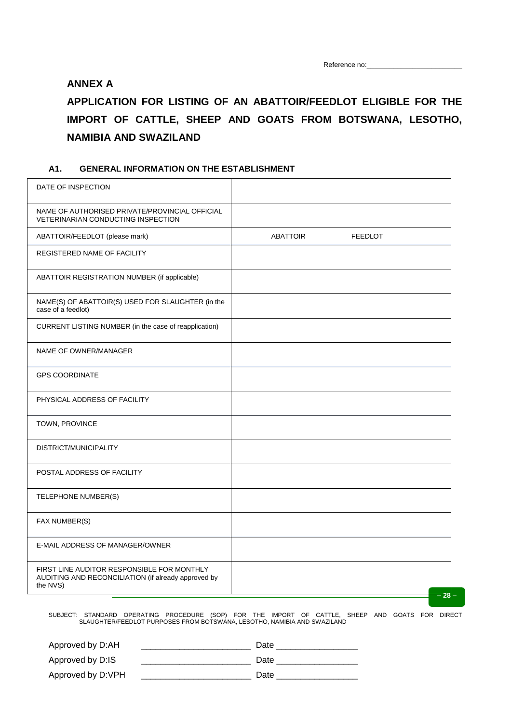# **ANNEX A**

# **APPLICATION FOR LISTING OF AN ABATTOIR/FEEDLOT ELIGIBLE FOR THE IMPORT OF CATTLE, SHEEP AND GOATS FROM BOTSWANA, LESOTHO, NAMIBIA AND SWAZILAND**

## **A1. GENERAL INFORMATION ON THE ESTABLISHMENT**

| NAME OF AUTHORISED PRIVATE/PROVINCIAL OFFICIAL<br>VETERINARIAN CONDUCTING INSPECTION<br><b>ABATTOIR</b><br>ABATTOIR/FEEDLOT (please mark)<br><b>FEEDLOT</b><br>REGISTERED NAME OF FACILITY<br>ABATTOIR REGISTRATION NUMBER (if applicable)<br>NAME(S) OF ABATTOIR(S) USED FOR SLAUGHTER (in the<br>case of a feedlot)<br>CURRENT LISTING NUMBER (in the case of reapplication)<br>NAME OF OWNER/MANAGER<br><b>GPS COORDINATE</b><br>PHYSICAL ADDRESS OF FACILITY<br>TOWN, PROVINCE<br>DISTRICT/MUNICIPALITY<br>POSTAL ADDRESS OF FACILITY<br>TELEPHONE NUMBER(S)<br>FAX NUMBER(S)<br>E-MAIL ADDRESS OF MANAGER/OWNER<br>FIRST LINE AUDITOR RESPONSIBLE FOR MONTHLY<br>AUDITING AND RECONCILIATION (if already approved by<br>the NVS)<br>$-28-$ | DATE OF INSPECTION |  |  |
|-------------------------------------------------------------------------------------------------------------------------------------------------------------------------------------------------------------------------------------------------------------------------------------------------------------------------------------------------------------------------------------------------------------------------------------------------------------------------------------------------------------------------------------------------------------------------------------------------------------------------------------------------------------------------------------------------------------------------------------------------|--------------------|--|--|
|                                                                                                                                                                                                                                                                                                                                                                                                                                                                                                                                                                                                                                                                                                                                                 |                    |  |  |
|                                                                                                                                                                                                                                                                                                                                                                                                                                                                                                                                                                                                                                                                                                                                                 |                    |  |  |
|                                                                                                                                                                                                                                                                                                                                                                                                                                                                                                                                                                                                                                                                                                                                                 |                    |  |  |
|                                                                                                                                                                                                                                                                                                                                                                                                                                                                                                                                                                                                                                                                                                                                                 |                    |  |  |
|                                                                                                                                                                                                                                                                                                                                                                                                                                                                                                                                                                                                                                                                                                                                                 |                    |  |  |
|                                                                                                                                                                                                                                                                                                                                                                                                                                                                                                                                                                                                                                                                                                                                                 |                    |  |  |
|                                                                                                                                                                                                                                                                                                                                                                                                                                                                                                                                                                                                                                                                                                                                                 |                    |  |  |
|                                                                                                                                                                                                                                                                                                                                                                                                                                                                                                                                                                                                                                                                                                                                                 |                    |  |  |
|                                                                                                                                                                                                                                                                                                                                                                                                                                                                                                                                                                                                                                                                                                                                                 |                    |  |  |
|                                                                                                                                                                                                                                                                                                                                                                                                                                                                                                                                                                                                                                                                                                                                                 |                    |  |  |
|                                                                                                                                                                                                                                                                                                                                                                                                                                                                                                                                                                                                                                                                                                                                                 |                    |  |  |
|                                                                                                                                                                                                                                                                                                                                                                                                                                                                                                                                                                                                                                                                                                                                                 |                    |  |  |
|                                                                                                                                                                                                                                                                                                                                                                                                                                                                                                                                                                                                                                                                                                                                                 |                    |  |  |
|                                                                                                                                                                                                                                                                                                                                                                                                                                                                                                                                                                                                                                                                                                                                                 |                    |  |  |
|                                                                                                                                                                                                                                                                                                                                                                                                                                                                                                                                                                                                                                                                                                                                                 |                    |  |  |
|                                                                                                                                                                                                                                                                                                                                                                                                                                                                                                                                                                                                                                                                                                                                                 |                    |  |  |

| Approved by D:AH  | Date |
|-------------------|------|
| Approved by D:IS  | Date |
| Approved by D:VPH | Date |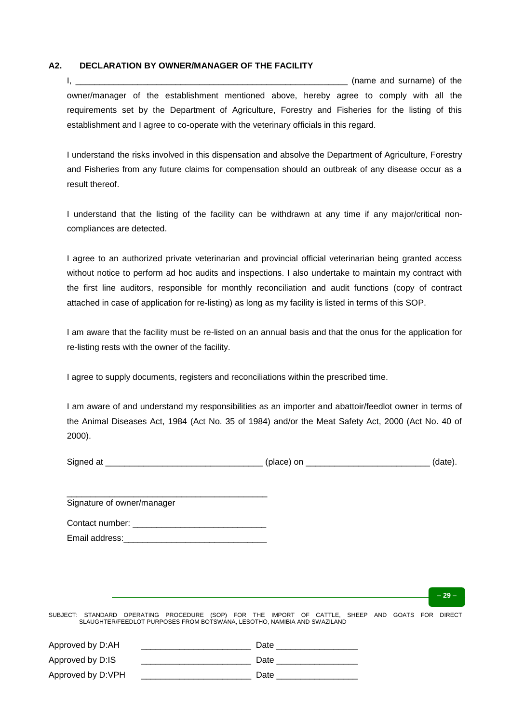#### **A2. DECLARATION BY OWNER/MANAGER OF THE FACILITY**

I, the contract of the contract of the contract of the contract of the contract of the contract of the contract of the contract of the contract of the contract of the contract of the contract of the contract of the contrac owner/manager of the establishment mentioned above, hereby agree to comply with all the requirements set by the Department of Agriculture, Forestry and Fisheries for the listing of this establishment and I agree to co-operate with the veterinary officials in this regard.

I understand the risks involved in this dispensation and absolve the Department of Agriculture, Forestry and Fisheries from any future claims for compensation should an outbreak of any disease occur as a result thereof.

I understand that the listing of the facility can be withdrawn at any time if any major/critical noncompliances are detected.

I agree to an authorized private veterinarian and provincial official veterinarian being granted access without notice to perform ad hoc audits and inspections. I also undertake to maintain my contract with the first line auditors, responsible for monthly reconciliation and audit functions (copy of contract attached in case of application for re-listing) as long as my facility is listed in terms of this SOP.

I am aware that the facility must be re-listed on an annual basis and that the onus for the application for re-listing rests with the owner of the facility.

I agree to supply documents, registers and reconciliations within the prescribed time.

I am aware of and understand my responsibilities as an importer and abattoir/feedlot owner in terms of the Animal Diseases Act, 1984 (Act No. 35 of 1984) and/or the Meat Safety Act, 2000 (Act No. 40 of 2000).

| Sign |  | - - |  |
|------|--|-----|--|
|      |  | רr. |  |
|      |  |     |  |

| Signature of owner/manager |
|----------------------------|
| Contact number:            |
| Email address:             |

**– 29 –**

| Approved by D:AH  | Date |
|-------------------|------|
| Approved by D:IS  | Date |
| Approved by D:VPH | Date |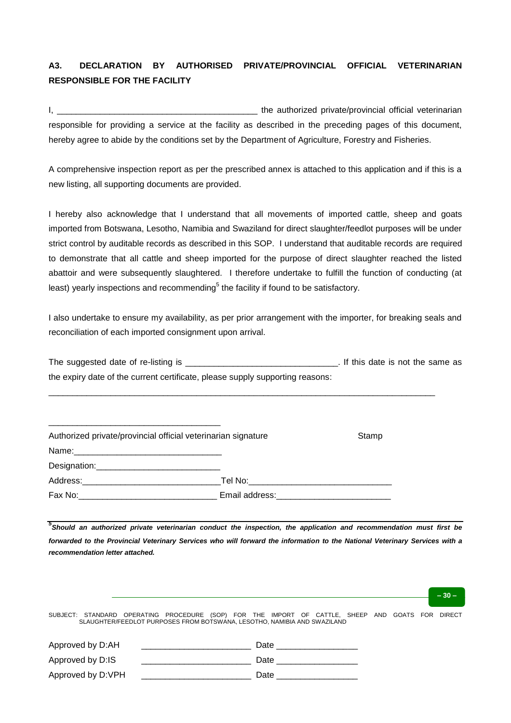# **A3. DECLARATION BY AUTHORISED PRIVATE/PROVINCIAL OFFICIAL VETERINARIAN RESPONSIBLE FOR THE FACILITY**

I, the authorized private/provincial official veterinarian responsible for providing a service at the facility as described in the preceding pages of this document, hereby agree to abide by the conditions set by the Department of Agriculture, Forestry and Fisheries.

A comprehensive inspection report as per the prescribed annex is attached to this application and if this is a new listing, all supporting documents are provided.

I hereby also acknowledge that I understand that all movements of imported cattle, sheep and goats imported from Botswana, Lesotho, Namibia and Swaziland for direct slaughter/feedlot purposes will be under strict control by auditable records as described in this SOP. I understand that auditable records are required to demonstrate that all cattle and sheep imported for the purpose of direct slaughter reached the listed abattoir and were subsequently slaughtered. I therefore undertake to fulfill the function of conducting (at least) yearly inspections and recommending $^5$  the facility if found to be satisfactory.

I also undertake to ensure my availability, as per prior arrangement with the importer, for breaking seals and reconciliation of each imported consignment upon arrival.

The suggested date of re-listing is the same as the same as the same as the same as the same as the same as the same as the same as the same as the same as the same as the same as the same as the same as the same as the sa the expiry date of the current certificate, please supply supporting reasons:

\_\_\_\_\_\_\_\_\_\_\_\_\_\_\_\_\_\_\_\_\_\_\_\_\_\_\_\_\_\_\_\_\_\_\_\_\_\_\_\_\_\_\_\_\_\_\_\_\_\_\_\_\_\_\_\_\_\_\_\_\_\_\_\_\_\_\_\_\_\_\_\_\_\_\_\_\_\_\_\_\_

| Authorized private/provincial official veterinarian signature                                                                                                                                                                  |                                                                                                                 | Stamp |
|--------------------------------------------------------------------------------------------------------------------------------------------------------------------------------------------------------------------------------|-----------------------------------------------------------------------------------------------------------------|-------|
|                                                                                                                                                                                                                                |                                                                                                                 |       |
| Designation: 2000 and 2000 and 2000 and 2000 and 2000 and 2000 and 2000 and 2000 and 2000 and 2000 and 2000 and 2000 and 2000 and 2000 and 2000 and 2000 and 2000 and 2000 and 2000 and 2000 and 2000 and 2000 and 2000 and 20 |                                                                                                                 |       |
|                                                                                                                                                                                                                                |                                                                                                                 |       |
|                                                                                                                                                                                                                                | Email address: Management Contract and Tennis and Tennis and Tennis and Tennis and Tennis and Tennis and Tennis |       |

\_\_\_\_\_\_\_\_\_\_\_\_\_\_\_\_\_\_\_\_\_\_\_\_\_\_\_\_\_\_\_\_\_\_\_\_

*5 Should an authorized private veterinarian conduct the inspection, the application and recommendation must first be forwarded to the Provincial Veterinary Services who will forward the information to the National Veterinary Services with a recommendation letter attached.*

SUBJECT: STANDARD OPERATING PROCEDURE (SOP) FOR THE IMPORT OF CATTLE, SHEEP AND GOATS FOR DIRECT SLAUGHTER/FEEDLOT PURPOSES FROM BOTSWANA, LESOTHO, NAMIBIA AND SWAZILAND Approved by D:AH \_\_\_\_\_\_\_\_\_\_\_\_\_\_\_\_\_\_\_\_\_\_\_ Date \_\_\_\_\_\_\_\_\_\_\_\_\_\_\_\_\_ Approved by D:IS **Definition** Date **Discussed** Date **Definition** Date **Definition** Approved by D:VPH Date Date Date **– 30 –**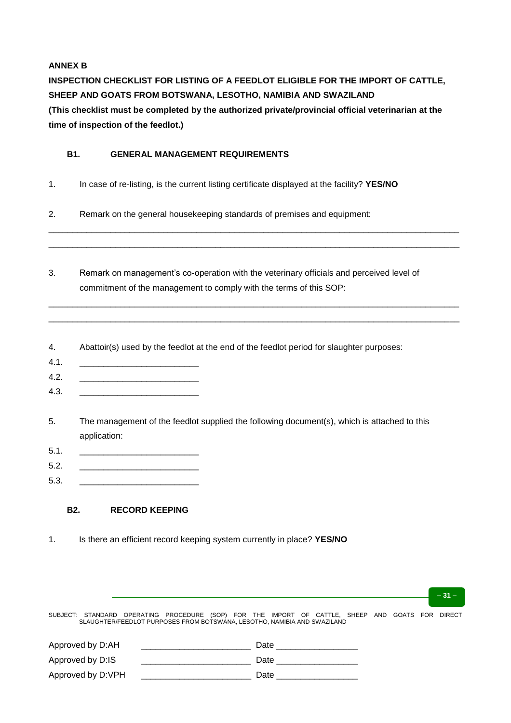## **ANNEX B**

**INSPECTION CHECKLIST FOR LISTING OF A FEEDLOT ELIGIBLE FOR THE IMPORT OF CATTLE, SHEEP AND GOATS FROM BOTSWANA, LESOTHO, NAMIBIA AND SWAZILAND (This checklist must be completed by the authorized private/provincial official veterinarian at the time of inspection of the feedlot.)**

## **B1. GENERAL MANAGEMENT REQUIREMENTS**

- 1. In case of re-listing, is the current listing certificate displayed at the facility? **YES/NO**
- 2. Remark on the general housekeeping standards of premises and equipment:
- 3. Remark on management's co-operation with the veterinary officials and perceived level of commitment of the management to comply with the terms of this SOP:

\_\_\_\_\_\_\_\_\_\_\_\_\_\_\_\_\_\_\_\_\_\_\_\_\_\_\_\_\_\_\_\_\_\_\_\_\_\_\_\_\_\_\_\_\_\_\_\_\_\_\_\_\_\_\_\_\_\_\_\_\_\_\_\_\_\_\_\_\_\_\_\_\_\_\_\_\_\_\_\_\_\_\_\_\_\_ \_\_\_\_\_\_\_\_\_\_\_\_\_\_\_\_\_\_\_\_\_\_\_\_\_\_\_\_\_\_\_\_\_\_\_\_\_\_\_\_\_\_\_\_\_\_\_\_\_\_\_\_\_\_\_\_\_\_\_\_\_\_\_\_\_\_\_\_\_\_\_\_\_\_\_\_\_\_\_\_\_\_\_\_\_\_

\_\_\_\_\_\_\_\_\_\_\_\_\_\_\_\_\_\_\_\_\_\_\_\_\_\_\_\_\_\_\_\_\_\_\_\_\_\_\_\_\_\_\_\_\_\_\_\_\_\_\_\_\_\_\_\_\_\_\_\_\_\_\_\_\_\_\_\_\_\_\_\_\_\_\_\_\_\_\_\_\_\_\_\_\_\_ \_\_\_\_\_\_\_\_\_\_\_\_\_\_\_\_\_\_\_\_\_\_\_\_\_\_\_\_\_\_\_\_\_\_\_\_\_\_\_\_\_\_\_\_\_\_\_\_\_\_\_\_\_\_\_\_\_\_\_\_\_\_\_\_\_\_\_\_\_\_\_\_\_\_\_\_\_\_\_\_\_\_\_\_\_\_

- 4. Abattoir(s) used by the feedlot at the end of the feedlot period for slaughter purposes:
- 4.1. \_\_\_\_\_\_\_\_\_\_\_\_\_\_\_\_\_\_\_\_\_\_\_\_\_
- 4.2. \_\_\_\_\_\_\_\_\_\_\_\_\_\_\_\_\_\_\_\_\_\_\_\_\_
- 4.3. \_\_\_\_\_\_\_\_\_\_\_\_\_\_\_\_\_\_\_\_\_\_\_\_\_
- 5. The management of the feedlot supplied the following document(s), which is attached to this application:
- 5.1. \_\_\_\_\_\_\_\_\_\_\_\_\_\_\_\_\_\_\_\_\_\_\_\_\_
- 5.2. \_\_\_\_\_\_\_\_\_\_\_\_\_\_\_\_\_\_\_\_\_\_\_\_\_
- 5.3. \_\_\_\_\_\_\_\_\_\_\_\_\_\_\_\_\_\_\_\_\_\_\_\_\_

## **B2. RECORD KEEPING**

1. Is there an efficient record keeping system currently in place? **YES/NO**

SUBJECT: STANDARD OPERATING PROCEDURE (SOP) FOR THE IMPORT OF CATTLE, SHEEP AND GOATS FOR DIRECT SLAUGHTER/FEEDLOT PURPOSES FROM BOTSWANA, LESOTHO, NAMIBIA AND SWAZILAND Approved by D:AH \_\_\_\_\_\_\_\_\_\_\_\_\_\_\_\_\_\_\_\_\_\_\_ Date \_\_\_\_\_\_\_\_\_\_\_\_\_\_\_\_\_

**– 31 –**

| <b>Apployed by D.AIT</b> | Dale |
|--------------------------|------|
| Approved by D:IS         | Date |
| Approved by D:VPH        | Date |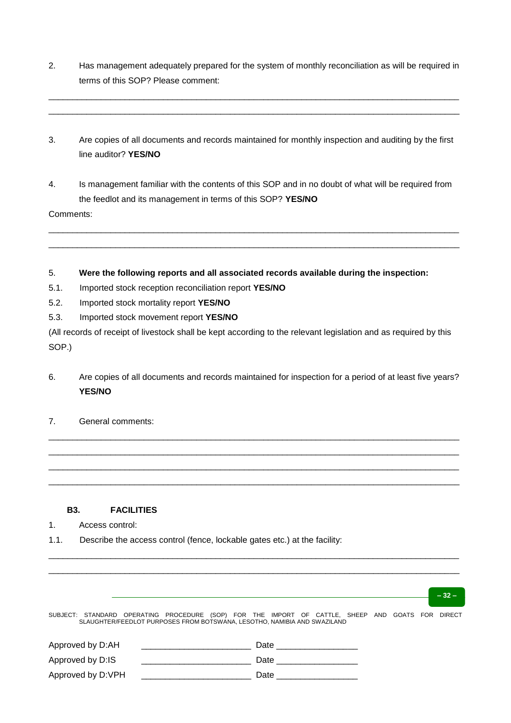2. Has management adequately prepared for the system of monthly reconciliation as will be required in terms of this SOP? Please comment:

\_\_\_\_\_\_\_\_\_\_\_\_\_\_\_\_\_\_\_\_\_\_\_\_\_\_\_\_\_\_\_\_\_\_\_\_\_\_\_\_\_\_\_\_\_\_\_\_\_\_\_\_\_\_\_\_\_\_\_\_\_\_\_\_\_\_\_\_\_\_\_\_\_\_\_\_\_\_\_\_\_\_\_\_\_\_ \_\_\_\_\_\_\_\_\_\_\_\_\_\_\_\_\_\_\_\_\_\_\_\_\_\_\_\_\_\_\_\_\_\_\_\_\_\_\_\_\_\_\_\_\_\_\_\_\_\_\_\_\_\_\_\_\_\_\_\_\_\_\_\_\_\_\_\_\_\_\_\_\_\_\_\_\_\_\_\_\_\_\_\_\_\_

- 3. Are copies of all documents and records maintained for monthly inspection and auditing by the first line auditor? **YES/NO**
- 4. Is management familiar with the contents of this SOP and in no doubt of what will be required from the feedlot and its management in terms of this SOP? **YES/NO**

\_\_\_\_\_\_\_\_\_\_\_\_\_\_\_\_\_\_\_\_\_\_\_\_\_\_\_\_\_\_\_\_\_\_\_\_\_\_\_\_\_\_\_\_\_\_\_\_\_\_\_\_\_\_\_\_\_\_\_\_\_\_\_\_\_\_\_\_\_\_\_\_\_\_\_\_\_\_\_\_\_\_\_\_\_\_ \_\_\_\_\_\_\_\_\_\_\_\_\_\_\_\_\_\_\_\_\_\_\_\_\_\_\_\_\_\_\_\_\_\_\_\_\_\_\_\_\_\_\_\_\_\_\_\_\_\_\_\_\_\_\_\_\_\_\_\_\_\_\_\_\_\_\_\_\_\_\_\_\_\_\_\_\_\_\_\_\_\_\_\_\_\_

Comments:

5. **Were the following reports and all associated records available during the inspection:**

- 5.1. Imported stock reception reconciliation report **YES/NO**
- 5.2. Imported stock mortality report **YES/NO**
- 5.3. Imported stock movement report **YES/NO**

(All records of receipt of livestock shall be kept according to the relevant legislation and as required by this SOP.)

6. Are copies of all documents and records maintained for inspection for a period of at least five years? **YES/NO**

\_\_\_\_\_\_\_\_\_\_\_\_\_\_\_\_\_\_\_\_\_\_\_\_\_\_\_\_\_\_\_\_\_\_\_\_\_\_\_\_\_\_\_\_\_\_\_\_\_\_\_\_\_\_\_\_\_\_\_\_\_\_\_\_\_\_\_\_\_\_\_\_\_\_\_\_\_\_\_\_\_\_\_\_\_\_ \_\_\_\_\_\_\_\_\_\_\_\_\_\_\_\_\_\_\_\_\_\_\_\_\_\_\_\_\_\_\_\_\_\_\_\_\_\_\_\_\_\_\_\_\_\_\_\_\_\_\_\_\_\_\_\_\_\_\_\_\_\_\_\_\_\_\_\_\_\_\_\_\_\_\_\_\_\_\_\_\_\_\_\_\_\_ \_\_\_\_\_\_\_\_\_\_\_\_\_\_\_\_\_\_\_\_\_\_\_\_\_\_\_\_\_\_\_\_\_\_\_\_\_\_\_\_\_\_\_\_\_\_\_\_\_\_\_\_\_\_\_\_\_\_\_\_\_\_\_\_\_\_\_\_\_\_\_\_\_\_\_\_\_\_\_\_\_\_\_\_\_\_ \_\_\_\_\_\_\_\_\_\_\_\_\_\_\_\_\_\_\_\_\_\_\_\_\_\_\_\_\_\_\_\_\_\_\_\_\_\_\_\_\_\_\_\_\_\_\_\_\_\_\_\_\_\_\_\_\_\_\_\_\_\_\_\_\_\_\_\_\_\_\_\_\_\_\_\_\_\_\_\_\_\_\_\_\_\_

7. General comments:

### **B3. FACILITIES**

- 1. Access control:
- 1.1. Describe the access control (fence, lockable gates etc.) at the facility:

|                   |                                                                                                                                                                              | $-32-$ |
|-------------------|------------------------------------------------------------------------------------------------------------------------------------------------------------------------------|--------|
|                   | SUBJECT: STANDARD OPERATING PROCEDURE (SOP) FOR THE IMPORT OF CATTLE, SHEEP AND GOATS FOR DIRECT<br>SLAUGHTER/FEEDLOT PURPOSES FROM BOTSWANA, LESOTHO, NAMIBIA AND SWAZILAND |        |
| Approved by D:AH  | Date                                                                                                                                                                         |        |
| Approved by D:IS  | Date                                                                                                                                                                         |        |
| Approved by D:VPH | Date                                                                                                                                                                         |        |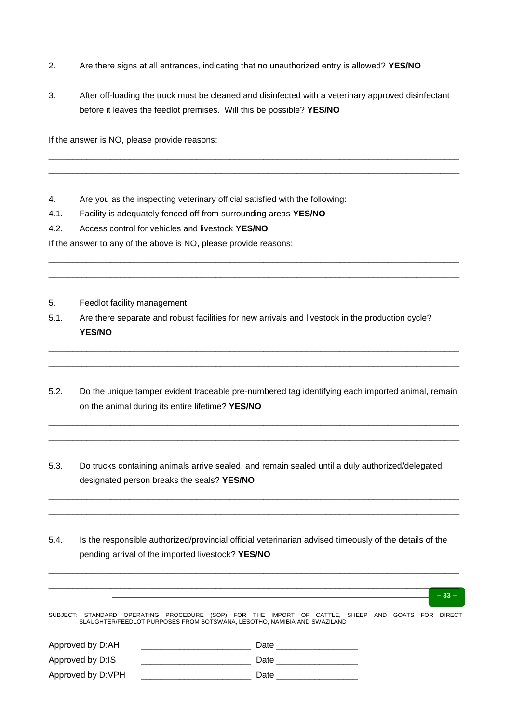- 2. Are there signs at all entrances, indicating that no unauthorized entry is allowed? **YES/NO**
- 3. After off-loading the truck must be cleaned and disinfected with a veterinary approved disinfectant before it leaves the feedlot premises. Will this be possible? **YES/NO**

\_\_\_\_\_\_\_\_\_\_\_\_\_\_\_\_\_\_\_\_\_\_\_\_\_\_\_\_\_\_\_\_\_\_\_\_\_\_\_\_\_\_\_\_\_\_\_\_\_\_\_\_\_\_\_\_\_\_\_\_\_\_\_\_\_\_\_\_\_\_\_\_\_\_\_\_\_\_\_\_\_\_\_\_\_\_ \_\_\_\_\_\_\_\_\_\_\_\_\_\_\_\_\_\_\_\_\_\_\_\_\_\_\_\_\_\_\_\_\_\_\_\_\_\_\_\_\_\_\_\_\_\_\_\_\_\_\_\_\_\_\_\_\_\_\_\_\_\_\_\_\_\_\_\_\_\_\_\_\_\_\_\_\_\_\_\_\_\_\_\_\_\_

\_\_\_\_\_\_\_\_\_\_\_\_\_\_\_\_\_\_\_\_\_\_\_\_\_\_\_\_\_\_\_\_\_\_\_\_\_\_\_\_\_\_\_\_\_\_\_\_\_\_\_\_\_\_\_\_\_\_\_\_\_\_\_\_\_\_\_\_\_\_\_\_\_\_\_\_\_\_\_\_\_\_\_\_\_\_ \_\_\_\_\_\_\_\_\_\_\_\_\_\_\_\_\_\_\_\_\_\_\_\_\_\_\_\_\_\_\_\_\_\_\_\_\_\_\_\_\_\_\_\_\_\_\_\_\_\_\_\_\_\_\_\_\_\_\_\_\_\_\_\_\_\_\_\_\_\_\_\_\_\_\_\_\_\_\_\_\_\_\_\_\_\_

If the answer is NO, please provide reasons:

- 4. Are you as the inspecting veterinary official satisfied with the following:
- 4.1. Facility is adequately fenced off from surrounding areas **YES/NO**
- 4.2. Access control for vehicles and livestock **YES/NO**

If the answer to any of the above is NO, please provide reasons:

- 5. Feedlot facility management:
- 5.1. Are there separate and robust facilities for new arrivals and livestock in the production cycle? **YES/NO**
- 5.2. Do the unique tamper evident traceable pre-numbered tag identifying each imported animal, remain on the animal during its entire lifetime? **YES/NO**

\_\_\_\_\_\_\_\_\_\_\_\_\_\_\_\_\_\_\_\_\_\_\_\_\_\_\_\_\_\_\_\_\_\_\_\_\_\_\_\_\_\_\_\_\_\_\_\_\_\_\_\_\_\_\_\_\_\_\_\_\_\_\_\_\_\_\_\_\_\_\_\_\_\_\_\_\_\_\_\_\_\_\_\_\_\_ \_\_\_\_\_\_\_\_\_\_\_\_\_\_\_\_\_\_\_\_\_\_\_\_\_\_\_\_\_\_\_\_\_\_\_\_\_\_\_\_\_\_\_\_\_\_\_\_\_\_\_\_\_\_\_\_\_\_\_\_\_\_\_\_\_\_\_\_\_\_\_\_\_\_\_\_\_\_\_\_\_\_\_\_\_\_

\_\_\_\_\_\_\_\_\_\_\_\_\_\_\_\_\_\_\_\_\_\_\_\_\_\_\_\_\_\_\_\_\_\_\_\_\_\_\_\_\_\_\_\_\_\_\_\_\_\_\_\_\_\_\_\_\_\_\_\_\_\_\_\_\_\_\_\_\_\_\_\_\_\_\_\_\_\_\_\_\_\_\_\_\_\_ \_\_\_\_\_\_\_\_\_\_\_\_\_\_\_\_\_\_\_\_\_\_\_\_\_\_\_\_\_\_\_\_\_\_\_\_\_\_\_\_\_\_\_\_\_\_\_\_\_\_\_\_\_\_\_\_\_\_\_\_\_\_\_\_\_\_\_\_\_\_\_\_\_\_\_\_\_\_\_\_\_\_\_\_\_\_

5.3. Do trucks containing animals arrive sealed, and remain sealed until a duly authorized/delegated designated person breaks the seals? **YES/NO**

\_\_\_\_\_\_\_\_\_\_\_\_\_\_\_\_\_\_\_\_\_\_\_\_\_\_\_\_\_\_\_\_\_\_\_\_\_\_\_\_\_\_\_\_\_\_\_\_\_\_\_\_\_\_\_\_\_\_\_\_\_\_\_\_\_\_\_\_\_\_\_\_\_\_\_\_\_\_\_\_\_\_\_\_\_\_ \_\_\_\_\_\_\_\_\_\_\_\_\_\_\_\_\_\_\_\_\_\_\_\_\_\_\_\_\_\_\_\_\_\_\_\_\_\_\_\_\_\_\_\_\_\_\_\_\_\_\_\_\_\_\_\_\_\_\_\_\_\_\_\_\_\_\_\_\_\_\_\_\_\_\_\_\_\_\_\_\_\_\_\_\_\_

5.4. Is the responsible authorized/provincial official veterinarian advised timeously of the details of the pending arrival of the imported livestock? **YES/NO**

|                   |                                                                                                                                                                              |                                                                                                                 |  | $-33-$ |
|-------------------|------------------------------------------------------------------------------------------------------------------------------------------------------------------------------|-----------------------------------------------------------------------------------------------------------------|--|--------|
|                   | SUBJECT: STANDARD OPERATING PROCEDURE (SOP) FOR THE IMPORT OF CATTLE, SHEEP AND GOATS FOR DIRECT<br>SLAUGHTER/FEEDLOT PURPOSES FROM BOTSWANA, LESOTHO, NAMIBIA AND SWAZILAND |                                                                                                                 |  |        |
| Approved by D:AH  |                                                                                                                                                                              | Date and the set of the set of the set of the set of the set of the set of the set of the set of the set of the |  |        |
| Approved by D:IS  | Date                                                                                                                                                                         |                                                                                                                 |  |        |
| Approved by D:VPH | Date                                                                                                                                                                         |                                                                                                                 |  |        |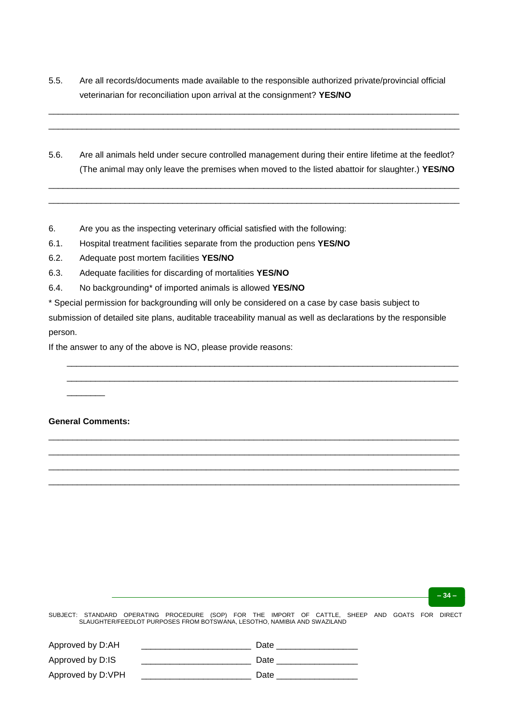5.5. Are all records/documents made available to the responsible authorized private/provincial official veterinarian for reconciliation upon arrival at the consignment? **YES/NO**

\_\_\_\_\_\_\_\_\_\_\_\_\_\_\_\_\_\_\_\_\_\_\_\_\_\_\_\_\_\_\_\_\_\_\_\_\_\_\_\_\_\_\_\_\_\_\_\_\_\_\_\_\_\_\_\_\_\_\_\_\_\_\_\_\_\_\_\_\_\_\_\_\_\_\_\_\_\_\_\_\_\_\_\_\_\_ \_\_\_\_\_\_\_\_\_\_\_\_\_\_\_\_\_\_\_\_\_\_\_\_\_\_\_\_\_\_\_\_\_\_\_\_\_\_\_\_\_\_\_\_\_\_\_\_\_\_\_\_\_\_\_\_\_\_\_\_\_\_\_\_\_\_\_\_\_\_\_\_\_\_\_\_\_\_\_\_\_\_\_\_\_\_

5.6. Are all animals held under secure controlled management during their entire lifetime at the feedlot? (The animal may only leave the premises when moved to the listed abattoir for slaughter.) **YES/NO**

\_\_\_\_\_\_\_\_\_\_\_\_\_\_\_\_\_\_\_\_\_\_\_\_\_\_\_\_\_\_\_\_\_\_\_\_\_\_\_\_\_\_\_\_\_\_\_\_\_\_\_\_\_\_\_\_\_\_\_\_\_\_\_\_\_\_\_\_\_\_\_\_\_\_\_\_\_\_\_\_\_\_\_\_\_\_ \_\_\_\_\_\_\_\_\_\_\_\_\_\_\_\_\_\_\_\_\_\_\_\_\_\_\_\_\_\_\_\_\_\_\_\_\_\_\_\_\_\_\_\_\_\_\_\_\_\_\_\_\_\_\_\_\_\_\_\_\_\_\_\_\_\_\_\_\_\_\_\_\_\_\_\_\_\_\_\_\_\_\_\_\_\_

- 6. Are you as the inspecting veterinary official satisfied with the following:
- 6.1. Hospital treatment facilities separate from the production pens **YES/NO**
- 6.2. Adequate post mortem facilities **YES/NO**
- 6.3. Adequate facilities for discarding of mortalities **YES/NO**
- 6.4. No backgrounding\* of imported animals is allowed **YES/NO**

\* Special permission for backgrounding will only be considered on a case by case basis subject to submission of detailed site plans, auditable traceability manual as well as declarations by the responsible person.

\_\_\_\_\_\_\_\_\_\_\_\_\_\_\_\_\_\_\_\_\_\_\_\_\_\_\_\_\_\_\_\_\_\_\_\_\_\_\_\_\_\_\_\_\_\_\_\_\_\_\_\_\_\_\_\_\_\_\_\_\_\_\_\_\_\_\_\_\_\_\_\_\_\_\_\_\_\_\_\_\_\_ \_\_\_\_\_\_\_\_\_\_\_\_\_\_\_\_\_\_\_\_\_\_\_\_\_\_\_\_\_\_\_\_\_\_\_\_\_\_\_\_\_\_\_\_\_\_\_\_\_\_\_\_\_\_\_\_\_\_\_\_\_\_\_\_\_\_\_\_\_\_\_\_\_\_\_\_\_\_\_\_\_\_

\_\_\_\_\_\_\_\_\_\_\_\_\_\_\_\_\_\_\_\_\_\_\_\_\_\_\_\_\_\_\_\_\_\_\_\_\_\_\_\_\_\_\_\_\_\_\_\_\_\_\_\_\_\_\_\_\_\_\_\_\_\_\_\_\_\_\_\_\_\_\_\_\_\_\_\_\_\_\_\_\_\_\_\_\_\_ \_\_\_\_\_\_\_\_\_\_\_\_\_\_\_\_\_\_\_\_\_\_\_\_\_\_\_\_\_\_\_\_\_\_\_\_\_\_\_\_\_\_\_\_\_\_\_\_\_\_\_\_\_\_\_\_\_\_\_\_\_\_\_\_\_\_\_\_\_\_\_\_\_\_\_\_\_\_\_\_\_\_\_\_\_\_ \_\_\_\_\_\_\_\_\_\_\_\_\_\_\_\_\_\_\_\_\_\_\_\_\_\_\_\_\_\_\_\_\_\_\_\_\_\_\_\_\_\_\_\_\_\_\_\_\_\_\_\_\_\_\_\_\_\_\_\_\_\_\_\_\_\_\_\_\_\_\_\_\_\_\_\_\_\_\_\_\_\_\_\_\_\_ \_\_\_\_\_\_\_\_\_\_\_\_\_\_\_\_\_\_\_\_\_\_\_\_\_\_\_\_\_\_\_\_\_\_\_\_\_\_\_\_\_\_\_\_\_\_\_\_\_\_\_\_\_\_\_\_\_\_\_\_\_\_\_\_\_\_\_\_\_\_\_\_\_\_\_\_\_\_\_\_\_\_\_\_\_\_

If the answer to any of the above is NO, please provide reasons:

#### **General Comments:**

 $\overline{\phantom{a}}$ 

**– 34 –**

| Approved by D:AH  | Date |
|-------------------|------|
| Approved by D:IS  | Date |
| Approved by D:VPH | Date |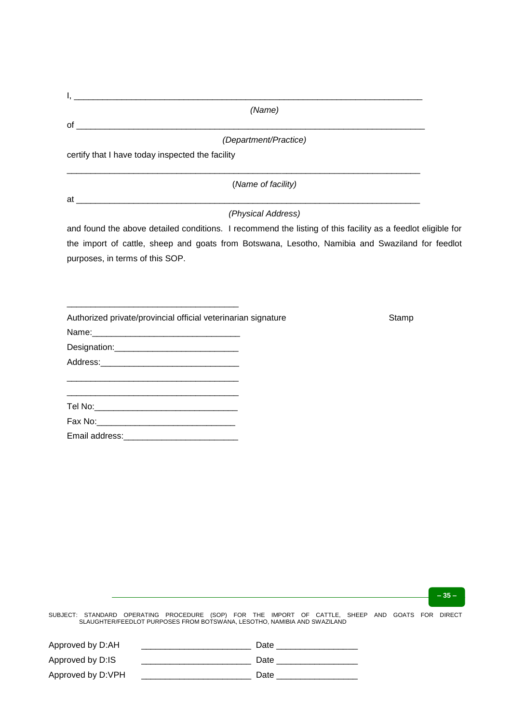| I.                                                                                                                    |                                                                                                             |  |
|-----------------------------------------------------------------------------------------------------------------------|-------------------------------------------------------------------------------------------------------------|--|
|                                                                                                                       | (Name)                                                                                                      |  |
|                                                                                                                       | (Department/Practice)                                                                                       |  |
| certify that I have today inspected the facility                                                                      |                                                                                                             |  |
|                                                                                                                       | (Name of facility)                                                                                          |  |
|                                                                                                                       |                                                                                                             |  |
|                                                                                                                       | (Physical Address)                                                                                          |  |
|                                                                                                                       | and found the above detailed conditions. I recommend the listing of this facility as a feedlot eligible for |  |
| purposes, in terms of this SOP.                                                                                       | the import of cattle, sheep and goats from Botswana, Lesotho, Namibia and Swaziland for feedlot             |  |
|                                                                                                                       |                                                                                                             |  |
| Authorized private/provincial official veterinarian signature                                                         | Stamp                                                                                                       |  |
|                                                                                                                       |                                                                                                             |  |
| Designation:________________________________                                                                          |                                                                                                             |  |
|                                                                                                                       |                                                                                                             |  |
| <u> 1989 - Johann Barbara, martin da basar da basar da basar da basar da basar da basar da basar da basar da basa</u> |                                                                                                             |  |
|                                                                                                                       |                                                                                                             |  |
|                                                                                                                       |                                                                                                             |  |
|                                                                                                                       |                                                                                                             |  |
|                                                                                                                       |                                                                                                             |  |
|                                                                                                                       |                                                                                                             |  |

**– 35 –**

| Approved by D:AH  | Date |
|-------------------|------|
| Approved by D:IS  | Date |
| Approved by D:VPH | Date |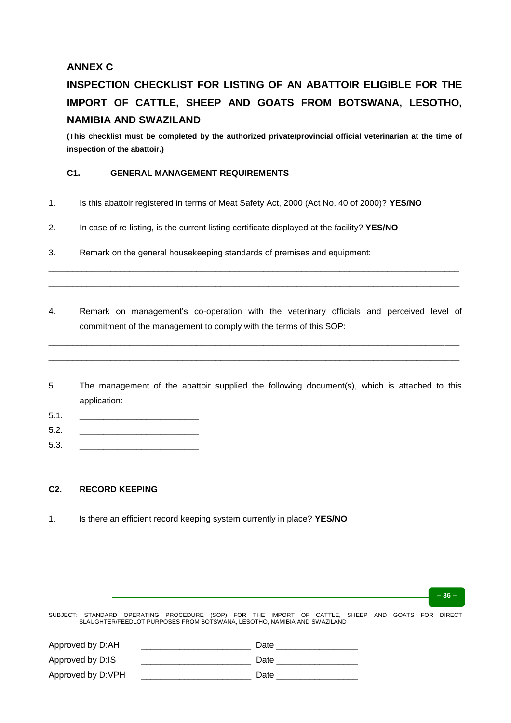# **ANNEX C**

# **INSPECTION CHECKLIST FOR LISTING OF AN ABATTOIR ELIGIBLE FOR THE IMPORT OF CATTLE, SHEEP AND GOATS FROM BOTSWANA, LESOTHO, NAMIBIA AND SWAZILAND**

**(This checklist must be completed by the authorized private/provincial official veterinarian at the time of inspection of the abattoir.)**

## **C1. GENERAL MANAGEMENT REQUIREMENTS**

- 1. Is this abattoir registered in terms of Meat Safety Act, 2000 (Act No. 40 of 2000)? **YES/NO**
- 2. In case of re-listing, is the current listing certificate displayed at the facility? **YES/NO**
- 3. Remark on the general housekeeping standards of premises and equipment:
- 4. Remark on management's co-operation with the veterinary officials and perceived level of commitment of the management to comply with the terms of this SOP:

\_\_\_\_\_\_\_\_\_\_\_\_\_\_\_\_\_\_\_\_\_\_\_\_\_\_\_\_\_\_\_\_\_\_\_\_\_\_\_\_\_\_\_\_\_\_\_\_\_\_\_\_\_\_\_\_\_\_\_\_\_\_\_\_\_\_\_\_\_\_\_\_\_\_\_\_\_\_\_\_\_\_\_\_\_\_ \_\_\_\_\_\_\_\_\_\_\_\_\_\_\_\_\_\_\_\_\_\_\_\_\_\_\_\_\_\_\_\_\_\_\_\_\_\_\_\_\_\_\_\_\_\_\_\_\_\_\_\_\_\_\_\_\_\_\_\_\_\_\_\_\_\_\_\_\_\_\_\_\_\_\_\_\_\_\_\_\_\_\_\_\_\_

\_\_\_\_\_\_\_\_\_\_\_\_\_\_\_\_\_\_\_\_\_\_\_\_\_\_\_\_\_\_\_\_\_\_\_\_\_\_\_\_\_\_\_\_\_\_\_\_\_\_\_\_\_\_\_\_\_\_\_\_\_\_\_\_\_\_\_\_\_\_\_\_\_\_\_\_\_\_\_\_\_\_\_\_\_\_ \_\_\_\_\_\_\_\_\_\_\_\_\_\_\_\_\_\_\_\_\_\_\_\_\_\_\_\_\_\_\_\_\_\_\_\_\_\_\_\_\_\_\_\_\_\_\_\_\_\_\_\_\_\_\_\_\_\_\_\_\_\_\_\_\_\_\_\_\_\_\_\_\_\_\_\_\_\_\_\_\_\_\_\_\_\_

- 5. The management of the abattoir supplied the following document(s), which is attached to this application:
- 5.1. \_\_\_\_\_\_\_\_\_\_\_\_\_\_\_\_\_\_\_\_\_\_\_\_\_
- 5.2. \_\_\_\_\_\_\_\_\_\_\_\_\_\_\_\_\_\_\_\_\_\_\_\_\_
- 5.3. \_\_\_\_\_\_\_\_\_\_\_\_\_\_\_\_\_\_\_\_\_\_\_\_\_

### **C2. RECORD KEEPING**

1. Is there an efficient record keeping system currently in place? **YES/NO**

| Approved by D:AH  | Date |
|-------------------|------|
| Approved by D:IS  | Date |
| Approved by D:VPH | Date |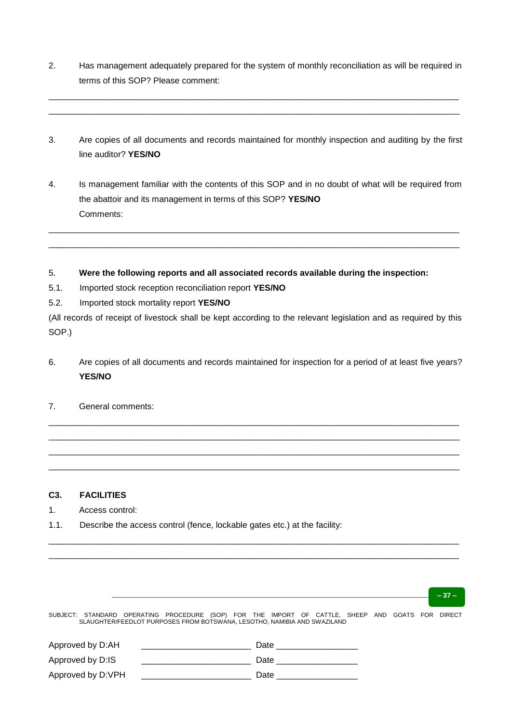2. Has management adequately prepared for the system of monthly reconciliation as will be required in terms of this SOP? Please comment:

\_\_\_\_\_\_\_\_\_\_\_\_\_\_\_\_\_\_\_\_\_\_\_\_\_\_\_\_\_\_\_\_\_\_\_\_\_\_\_\_\_\_\_\_\_\_\_\_\_\_\_\_\_\_\_\_\_\_\_\_\_\_\_\_\_\_\_\_\_\_\_\_\_\_\_\_\_\_\_\_\_\_\_\_\_\_ \_\_\_\_\_\_\_\_\_\_\_\_\_\_\_\_\_\_\_\_\_\_\_\_\_\_\_\_\_\_\_\_\_\_\_\_\_\_\_\_\_\_\_\_\_\_\_\_\_\_\_\_\_\_\_\_\_\_\_\_\_\_\_\_\_\_\_\_\_\_\_\_\_\_\_\_\_\_\_\_\_\_\_\_\_\_

- 3. Are copies of all documents and records maintained for monthly inspection and auditing by the first line auditor? **YES/NO**
- 4. Is management familiar with the contents of this SOP and in no doubt of what will be required from the abattoir and its management in terms of this SOP? **YES/NO** Comments:

\_\_\_\_\_\_\_\_\_\_\_\_\_\_\_\_\_\_\_\_\_\_\_\_\_\_\_\_\_\_\_\_\_\_\_\_\_\_\_\_\_\_\_\_\_\_\_\_\_\_\_\_\_\_\_\_\_\_\_\_\_\_\_\_\_\_\_\_\_\_\_\_\_\_\_\_\_\_\_\_\_\_\_\_\_\_ \_\_\_\_\_\_\_\_\_\_\_\_\_\_\_\_\_\_\_\_\_\_\_\_\_\_\_\_\_\_\_\_\_\_\_\_\_\_\_\_\_\_\_\_\_\_\_\_\_\_\_\_\_\_\_\_\_\_\_\_\_\_\_\_\_\_\_\_\_\_\_\_\_\_\_\_\_\_\_\_\_\_\_\_\_\_

### 5. **Were the following reports and all associated records available during the inspection:**

- 5.1. Imported stock reception reconciliation report **YES/NO**
- 5.2. Imported stock mortality report **YES/NO**

(All records of receipt of livestock shall be kept according to the relevant legislation and as required by this SOP.)

6. Are copies of all documents and records maintained for inspection for a period of at least five years? **YES/NO**

\_\_\_\_\_\_\_\_\_\_\_\_\_\_\_\_\_\_\_\_\_\_\_\_\_\_\_\_\_\_\_\_\_\_\_\_\_\_\_\_\_\_\_\_\_\_\_\_\_\_\_\_\_\_\_\_\_\_\_\_\_\_\_\_\_\_\_\_\_\_\_\_\_\_\_\_\_\_\_\_\_\_\_\_\_\_ \_\_\_\_\_\_\_\_\_\_\_\_\_\_\_\_\_\_\_\_\_\_\_\_\_\_\_\_\_\_\_\_\_\_\_\_\_\_\_\_\_\_\_\_\_\_\_\_\_\_\_\_\_\_\_\_\_\_\_\_\_\_\_\_\_\_\_\_\_\_\_\_\_\_\_\_\_\_\_\_\_\_\_\_\_\_ \_\_\_\_\_\_\_\_\_\_\_\_\_\_\_\_\_\_\_\_\_\_\_\_\_\_\_\_\_\_\_\_\_\_\_\_\_\_\_\_\_\_\_\_\_\_\_\_\_\_\_\_\_\_\_\_\_\_\_\_\_\_\_\_\_\_\_\_\_\_\_\_\_\_\_\_\_\_\_\_\_\_\_\_\_\_ \_\_\_\_\_\_\_\_\_\_\_\_\_\_\_\_\_\_\_\_\_\_\_\_\_\_\_\_\_\_\_\_\_\_\_\_\_\_\_\_\_\_\_\_\_\_\_\_\_\_\_\_\_\_\_\_\_\_\_\_\_\_\_\_\_\_\_\_\_\_\_\_\_\_\_\_\_\_\_\_\_\_\_\_\_\_

7. General comments:

### **C3. FACILITIES**

- 1. Access control:
- 1.1. Describe the access control (fence, lockable gates etc.) at the facility:

| _ |   | _ |
|---|---|---|
|   | ٠ |   |
|   |   |   |

SUBJECT: STANDARD OPERATING PROCEDURE (SOP) FOR THE IMPORT OF CATTLE, SHEEP AND GOATS FOR DIRECT SLAUGHTER/FEEDLOT PURPOSES FROM BOTSWANA, LESOTHO, NAMIBIA AND SWAZILAND

\_\_\_\_\_\_\_\_\_\_\_\_\_\_\_\_\_\_\_\_\_\_\_\_\_\_\_\_\_\_\_\_\_\_\_\_\_\_\_\_\_\_\_\_\_\_\_\_\_\_\_\_\_\_\_\_\_\_\_\_\_\_\_\_\_\_\_\_\_\_\_\_\_\_\_\_\_\_\_\_\_\_\_\_\_\_ \_\_\_\_\_\_\_\_\_\_\_\_\_\_\_\_\_\_\_\_\_\_\_\_\_\_\_\_\_\_\_\_\_\_\_\_\_\_\_\_\_\_\_\_\_\_\_\_\_\_\_\_\_\_\_\_\_\_\_\_\_\_\_\_\_\_\_\_\_\_\_\_\_\_\_\_\_\_\_\_\_\_\_\_\_\_

| Approved by D:AH  | Date |
|-------------------|------|
| Approved by D:IS  | Date |
| Approved by D:VPH | Date |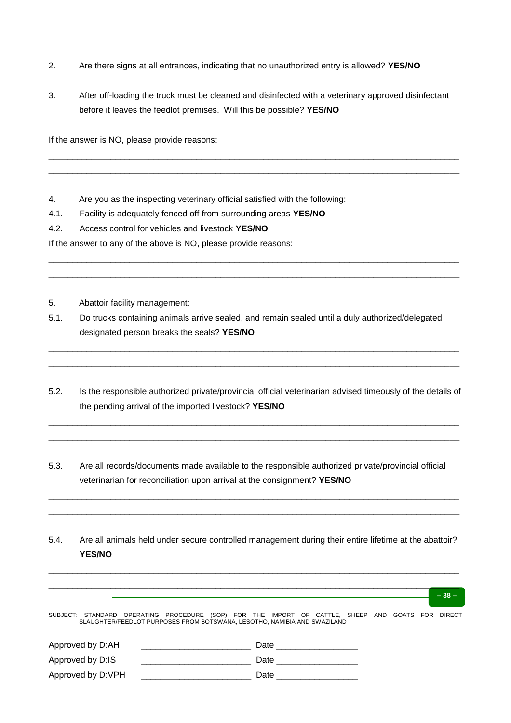- 2. Are there signs at all entrances, indicating that no unauthorized entry is allowed? **YES/NO**
- 3. After off-loading the truck must be cleaned and disinfected with a veterinary approved disinfectant before it leaves the feedlot premises. Will this be possible? **YES/NO**

\_\_\_\_\_\_\_\_\_\_\_\_\_\_\_\_\_\_\_\_\_\_\_\_\_\_\_\_\_\_\_\_\_\_\_\_\_\_\_\_\_\_\_\_\_\_\_\_\_\_\_\_\_\_\_\_\_\_\_\_\_\_\_\_\_\_\_\_\_\_\_\_\_\_\_\_\_\_\_\_\_\_\_\_\_\_ \_\_\_\_\_\_\_\_\_\_\_\_\_\_\_\_\_\_\_\_\_\_\_\_\_\_\_\_\_\_\_\_\_\_\_\_\_\_\_\_\_\_\_\_\_\_\_\_\_\_\_\_\_\_\_\_\_\_\_\_\_\_\_\_\_\_\_\_\_\_\_\_\_\_\_\_\_\_\_\_\_\_\_\_\_\_

\_\_\_\_\_\_\_\_\_\_\_\_\_\_\_\_\_\_\_\_\_\_\_\_\_\_\_\_\_\_\_\_\_\_\_\_\_\_\_\_\_\_\_\_\_\_\_\_\_\_\_\_\_\_\_\_\_\_\_\_\_\_\_\_\_\_\_\_\_\_\_\_\_\_\_\_\_\_\_\_\_\_\_\_\_\_ \_\_\_\_\_\_\_\_\_\_\_\_\_\_\_\_\_\_\_\_\_\_\_\_\_\_\_\_\_\_\_\_\_\_\_\_\_\_\_\_\_\_\_\_\_\_\_\_\_\_\_\_\_\_\_\_\_\_\_\_\_\_\_\_\_\_\_\_\_\_\_\_\_\_\_\_\_\_\_\_\_\_\_\_\_\_

If the answer is NO, please provide reasons:

4. Are you as the inspecting veterinary official satisfied with the following:

4.1. Facility is adequately fenced off from surrounding areas **YES/NO**

4.2. Access control for vehicles and livestock **YES/NO**

If the answer to any of the above is NO, please provide reasons:

5. Abattoir facility management:

- 5.1. Do trucks containing animals arrive sealed, and remain sealed until a duly authorized/delegated designated person breaks the seals? **YES/NO**
- 5.2. Is the responsible authorized private/provincial official veterinarian advised timeously of the details of the pending arrival of the imported livestock? **YES/NO**

\_\_\_\_\_\_\_\_\_\_\_\_\_\_\_\_\_\_\_\_\_\_\_\_\_\_\_\_\_\_\_\_\_\_\_\_\_\_\_\_\_\_\_\_\_\_\_\_\_\_\_\_\_\_\_\_\_\_\_\_\_\_\_\_\_\_\_\_\_\_\_\_\_\_\_\_\_\_\_\_\_\_\_\_\_\_ \_\_\_\_\_\_\_\_\_\_\_\_\_\_\_\_\_\_\_\_\_\_\_\_\_\_\_\_\_\_\_\_\_\_\_\_\_\_\_\_\_\_\_\_\_\_\_\_\_\_\_\_\_\_\_\_\_\_\_\_\_\_\_\_\_\_\_\_\_\_\_\_\_\_\_\_\_\_\_\_\_\_\_\_\_\_

\_\_\_\_\_\_\_\_\_\_\_\_\_\_\_\_\_\_\_\_\_\_\_\_\_\_\_\_\_\_\_\_\_\_\_\_\_\_\_\_\_\_\_\_\_\_\_\_\_\_\_\_\_\_\_\_\_\_\_\_\_\_\_\_\_\_\_\_\_\_\_\_\_\_\_\_\_\_\_\_\_\_\_\_\_\_ \_\_\_\_\_\_\_\_\_\_\_\_\_\_\_\_\_\_\_\_\_\_\_\_\_\_\_\_\_\_\_\_\_\_\_\_\_\_\_\_\_\_\_\_\_\_\_\_\_\_\_\_\_\_\_\_\_\_\_\_\_\_\_\_\_\_\_\_\_\_\_\_\_\_\_\_\_\_\_\_\_\_\_\_\_\_

- 5.3. Are all records/documents made available to the responsible authorized private/provincial official veterinarian for reconciliation upon arrival at the consignment? **YES/NO**
- 5.4. Are all animals held under secure controlled management during their entire lifetime at the abattoir? **YES/NO**

\_\_\_\_\_\_\_\_\_\_\_\_\_\_\_\_\_\_\_\_\_\_\_\_\_\_\_\_\_\_\_\_\_\_\_\_\_\_\_\_\_\_\_\_\_\_\_\_\_\_\_\_\_\_\_\_\_\_\_\_\_\_\_\_\_\_\_\_\_\_\_\_\_\_\_\_\_\_\_\_\_\_\_\_\_\_ \_\_\_\_\_\_\_\_\_\_\_\_\_\_\_\_\_\_\_\_\_\_\_\_\_\_\_\_\_\_\_\_\_\_\_\_\_\_\_\_\_\_\_\_\_\_\_\_\_\_\_\_\_\_\_\_\_\_\_\_\_\_\_\_\_\_\_\_\_\_\_\_\_\_\_\_\_\_\_\_\_\_\_\_\_\_

|                                                                                                  |                                                                          |      |                                                                                                                                                                                                                                |  |  | $-38-$ |
|--------------------------------------------------------------------------------------------------|--------------------------------------------------------------------------|------|--------------------------------------------------------------------------------------------------------------------------------------------------------------------------------------------------------------------------------|--|--|--------|
| SUBJECT: STANDARD OPERATING PROCEDURE (SOP) FOR THE IMPORT OF CATTLE, SHEEP AND GOATS FOR DIRECT | SLAUGHTER/FEEDLOT PURPOSES FROM BOTSWANA, LESOTHO, NAMIBIA AND SWAZILAND |      |                                                                                                                                                                                                                                |  |  |        |
| Approved by D:AH                                                                                 |                                                                          |      | Date and the contract of the contract of the contract of the contract of the contract of the contract of the contract of the contract of the contract of the contract of the contract of the contract of the contract of the c |  |  |        |
| Approved by D:IS                                                                                 |                                                                          | Date |                                                                                                                                                                                                                                |  |  |        |
| Approved by D:VPH                                                                                |                                                                          | Date |                                                                                                                                                                                                                                |  |  |        |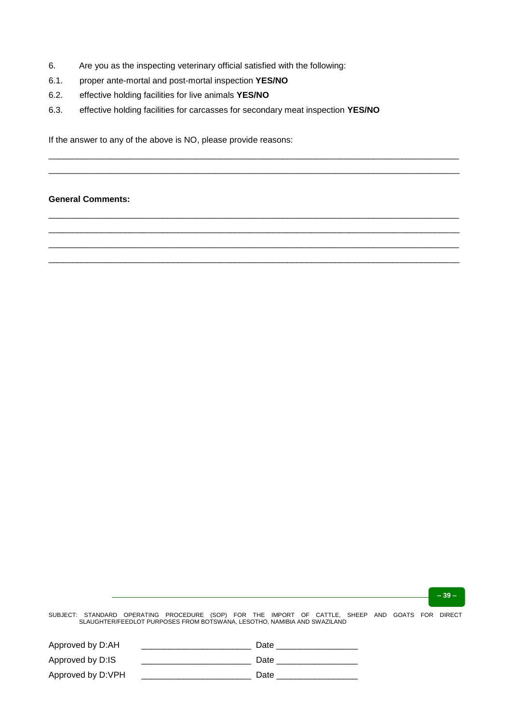- 6. Are you as the inspecting veterinary official satisfied with the following:
- 6.1. proper ante-mortal and post-mortal inspection **YES/NO**
- 6.2. effective holding facilities for live animals **YES/NO**
- 6.3. effective holding facilities for carcasses for secondary meat inspection **YES/NO**

\_\_\_\_\_\_\_\_\_\_\_\_\_\_\_\_\_\_\_\_\_\_\_\_\_\_\_\_\_\_\_\_\_\_\_\_\_\_\_\_\_\_\_\_\_\_\_\_\_\_\_\_\_\_\_\_\_\_\_\_\_\_\_\_\_\_\_\_\_\_\_\_\_\_\_\_\_\_\_\_\_\_\_\_\_\_ \_\_\_\_\_\_\_\_\_\_\_\_\_\_\_\_\_\_\_\_\_\_\_\_\_\_\_\_\_\_\_\_\_\_\_\_\_\_\_\_\_\_\_\_\_\_\_\_\_\_\_\_\_\_\_\_\_\_\_\_\_\_\_\_\_\_\_\_\_\_\_\_\_\_\_\_\_\_\_\_\_\_\_\_\_\_

\_\_\_\_\_\_\_\_\_\_\_\_\_\_\_\_\_\_\_\_\_\_\_\_\_\_\_\_\_\_\_\_\_\_\_\_\_\_\_\_\_\_\_\_\_\_\_\_\_\_\_\_\_\_\_\_\_\_\_\_\_\_\_\_\_\_\_\_\_\_\_\_\_\_\_\_\_\_\_\_\_\_\_\_\_\_ \_\_\_\_\_\_\_\_\_\_\_\_\_\_\_\_\_\_\_\_\_\_\_\_\_\_\_\_\_\_\_\_\_\_\_\_\_\_\_\_\_\_\_\_\_\_\_\_\_\_\_\_\_\_\_\_\_\_\_\_\_\_\_\_\_\_\_\_\_\_\_\_\_\_\_\_\_\_\_\_\_\_\_\_\_\_ \_\_\_\_\_\_\_\_\_\_\_\_\_\_\_\_\_\_\_\_\_\_\_\_\_\_\_\_\_\_\_\_\_\_\_\_\_\_\_\_\_\_\_\_\_\_\_\_\_\_\_\_\_\_\_\_\_\_\_\_\_\_\_\_\_\_\_\_\_\_\_\_\_\_\_\_\_\_\_\_\_\_\_\_\_\_ \_\_\_\_\_\_\_\_\_\_\_\_\_\_\_\_\_\_\_\_\_\_\_\_\_\_\_\_\_\_\_\_\_\_\_\_\_\_\_\_\_\_\_\_\_\_\_\_\_\_\_\_\_\_\_\_\_\_\_\_\_\_\_\_\_\_\_\_\_\_\_\_\_\_\_\_\_\_\_\_\_\_\_\_\_\_

If the answer to any of the above is NO, please provide reasons:

#### **General Comments:**

**– 39 –**

| Approved by D:AH  | Date |
|-------------------|------|
| Approved by D:IS  | Date |
| Approved by D:VPH | Date |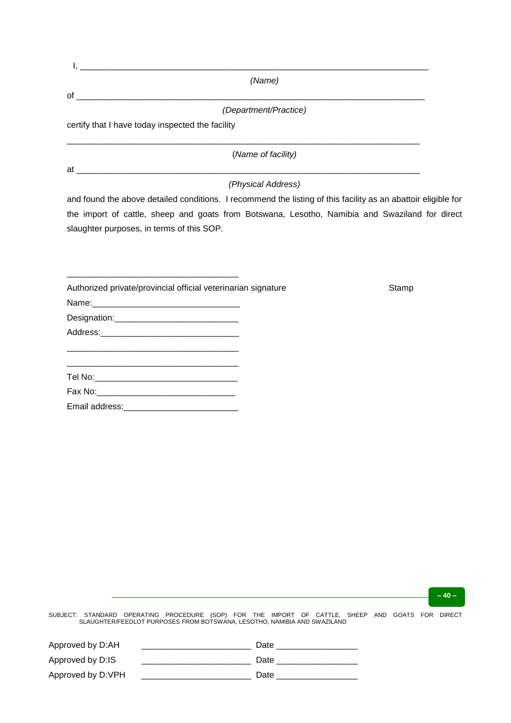|    | (Name)                                           |
|----|--------------------------------------------------|
| of |                                                  |
|    | (Department/Practice)                            |
|    | certify that I have today inspected the facility |
|    | (Name of facility)                               |
| at |                                                  |
|    | (Physical Address)                               |

and found the above detailed conditions. I recommend the listing of this facility as an abattoir eligible for the import of cattle, sheep and goats from Botswana, Lesotho, Namibia and Swaziland for direct slaughter purposes, in terms of this SOP.

| Authorized private/provincial official veterinarian signature                                      | Stamp |
|----------------------------------------------------------------------------------------------------|-------|
|                                                                                                    |       |
|                                                                                                    |       |
|                                                                                                    |       |
|                                                                                                    |       |
| and the state of the state of the state of the state of the state of the state of the state of the |       |
|                                                                                                    |       |
|                                                                                                    |       |
|                                                                                                    |       |

**– 40 –**

| Approved by D:AH  | Date |
|-------------------|------|
| Approved by D:IS  | Date |
| Approved by D:VPH | Date |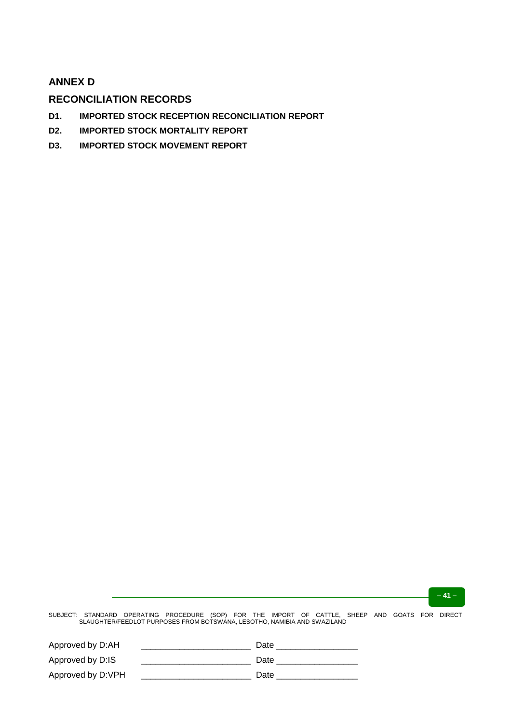# **ANNEX D**

# **RECONCILIATION RECORDS**

- **D1. IMPORTED STOCK RECEPTION RECONCILIATION REPORT**
- **D2. IMPORTED STOCK MORTALITY REPORT**
- **D3. IMPORTED STOCK MOVEMENT REPORT**

**– 41 –**

| Approved by D:AH  | Date |
|-------------------|------|
| Approved by D:IS  | Date |
| Approved by D:VPH | Date |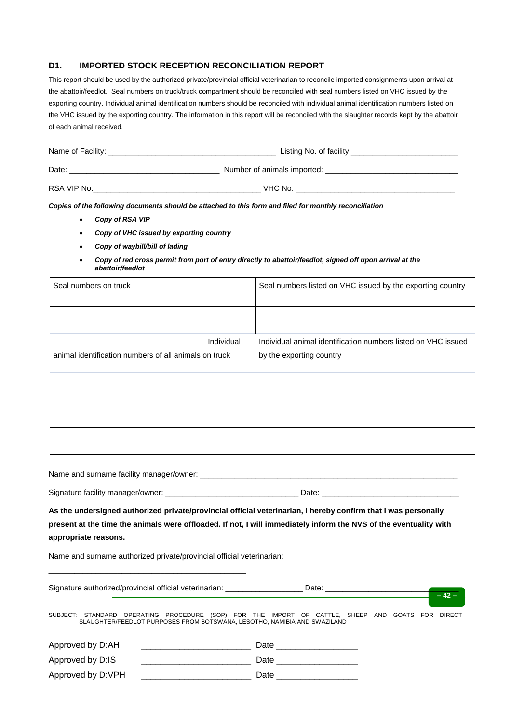## **D1. IMPORTED STOCK RECEPTION RECONCILIATION REPORT**

This report should be used by the authorized private/provincial official veterinarian to reconcile imported consignments upon arrival at the abattoir/feedlot. Seal numbers on truck/truck compartment should be reconciled with seal numbers listed on VHC issued by the exporting country. Individual animal identification numbers should be reconciled with individual animal identification numbers listed on the VHC issued by the exporting country. The information in this report will be reconciled with the slaughter records kept by the abattoir of each animal received.

| Name of Facility: | Listing No. of facility:    |  |  |
|-------------------|-----------------------------|--|--|
| Date:             | Number of animals imported: |  |  |
| RSA VIP No.       | VHC No.                     |  |  |

*Copies of the following documents should be attached to this form and filed for monthly reconciliation*

- *Copy of RSA VIP*
- *Copy of VHC issued by exporting country*
- *Copy of waybill/bill of lading*
- *Copy of red cross permit from port of entry directly to abattoir/feedlot, signed off upon arrival at the abattoir/feedlot*

| Seal numbers on truck                                 | Seal numbers listed on VHC issued by the exporting country    |
|-------------------------------------------------------|---------------------------------------------------------------|
|                                                       |                                                               |
| Individual                                            | Individual animal identification numbers listed on VHC issued |
| animal identification numbers of all animals on truck | by the exporting country                                      |
|                                                       |                                                               |
|                                                       |                                                               |
|                                                       |                                                               |
|                                                       |                                                               |

Name and surname facility manager/owner: \_\_\_\_\_\_\_\_\_\_\_\_\_\_\_\_\_\_\_\_\_\_\_\_\_\_\_\_\_\_\_\_\_\_\_\_\_\_\_\_\_\_\_\_\_\_\_\_\_\_\_\_\_\_\_\_\_\_\_\_

Signature facility manager/owner: \_\_\_\_\_\_\_\_\_\_\_\_\_\_\_\_\_\_\_\_\_\_\_\_\_\_\_\_\_\_\_ Date: \_\_\_\_\_\_\_\_\_\_\_\_\_\_\_\_\_\_\_\_\_\_\_\_\_\_\_\_\_\_\_\_

**As the undersigned authorized private/provincial official veterinarian, I hereby confirm that I was personally present at the time the animals were offloaded. If not, I will immediately inform the NVS of the eventuality with appropriate reasons.**

Name and surname authorized private/provincial official veterinarian:

Signature authorized/provincial official veterinarian: <br>
Date:

\_\_\_\_\_\_\_\_\_\_\_\_\_\_\_\_\_\_\_\_\_\_\_\_\_\_\_\_\_\_\_\_\_\_\_\_\_\_\_\_\_\_\_\_\_\_

**– 42 –**

| Approved by D:AH  | Date |
|-------------------|------|
| Approved by D:IS  | Date |
| Approved by D:VPH | Date |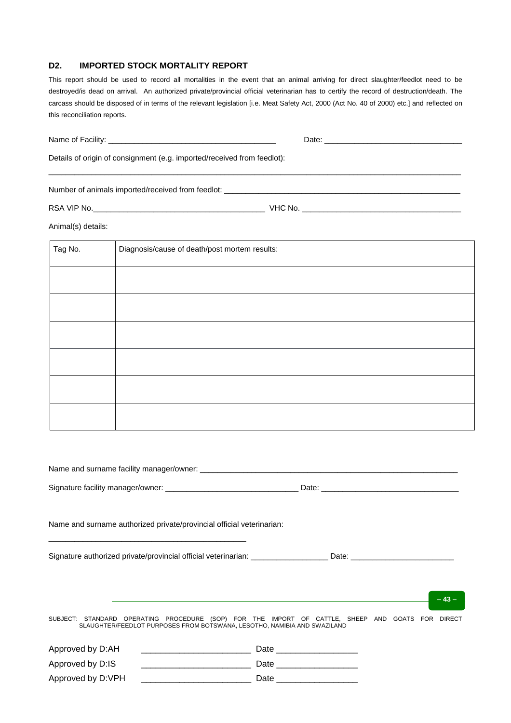#### **D2. IMPORTED STOCK MORTALITY REPORT**

This report should be used to record all mortalities in the event that an animal arriving for direct slaughter/feedlot need to be destroyed/is dead on arrival. An authorized private/provincial official veterinarian has to certify the record of destruction/death. The carcass should be disposed of in terms of the relevant legislation [i.e. Meat Safety Act, 2000 (Act No. 40 of 2000) etc.] and reflected on this reconciliation reports.

|                    | Details of origin of consignment (e.g. imported/received from feedlot): |
|--------------------|-------------------------------------------------------------------------|
|                    |                                                                         |
|                    |                                                                         |
| Animal(s) details: |                                                                         |
| Tag No.            | Diagnosis/cause of death/post mortem results:                           |
|                    |                                                                         |
|                    |                                                                         |
|                    |                                                                         |
|                    |                                                                         |
|                    |                                                                         |
|                    |                                                                         |
|                    |                                                                         |

|                   | Signature facility manager/owner: ___________________________________Date: ___________________________________                                                               |                           |  |        |
|-------------------|------------------------------------------------------------------------------------------------------------------------------------------------------------------------------|---------------------------|--|--------|
|                   | Name and surname authorized private/provincial official veterinarian:                                                                                                        |                           |  |        |
|                   |                                                                                                                                                                              |                           |  |        |
|                   | ,我们也不能在这里的时候,我们也不能在这里的时候,我们也不能会在这里的时候,我们也不能会在这里的时候,我们也不能会在这里的时候,我们也不能会在这里的时候,我们也                                                                                             |                           |  | $-43-$ |
|                   | SUBJECT: STANDARD OPERATING PROCEDURE (SOP) FOR THE IMPORT OF CATTLE, SHEEP AND GOATS FOR DIRECT<br>SLAUGHTER/FEEDLOT PURPOSES FROM BOTSWANA, LESOTHO, NAMIBIA AND SWAZILAND |                           |  |        |
| Approved by D:AH  |                                                                                                                                                                              | Date ____________________ |  |        |
|                   |                                                                                                                                                                              |                           |  |        |
| Approved by D:VPH |                                                                                                                                                                              | Date ____________________ |  |        |
|                   |                                                                                                                                                                              |                           |  |        |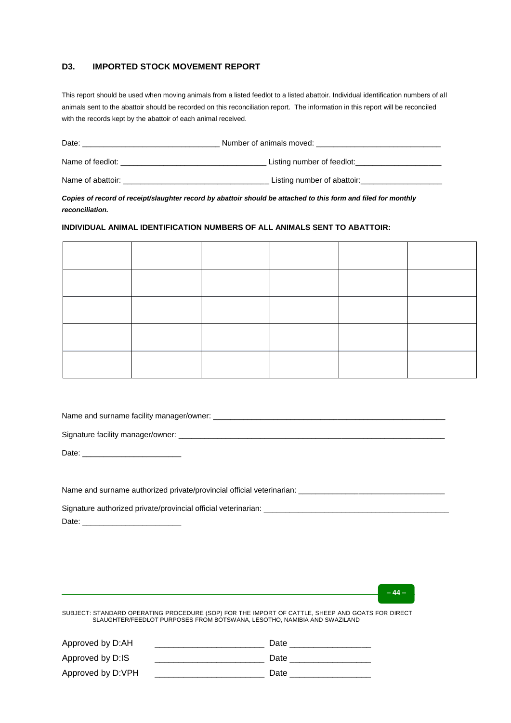### **D3. IMPORTED STOCK MOVEMENT REPORT**

This report should be used when moving animals from a listed feedlot to a listed abattoir. Individual identification numbers of all animals sent to the abattoir should be recorded on this reconciliation report. The information in this report will be reconciled with the records kept by the abattoir of each animal received.

| Date:             | Number of animals moved:    |
|-------------------|-----------------------------|
| Name of feedlot:  | Listing number of feedlot:  |
| Name of abattoir: | Listing number of abattoir: |

*Copies of record of receipt/slaughter record by abattoir should be attached to this form and filed for monthly reconciliation.*

#### **INDIVIDUAL ANIMAL IDENTIFICATION NUMBERS OF ALL ANIMALS SENT TO ABATTOIR:**

Name and surname facility manager/owner: \_\_\_\_\_\_\_\_\_\_\_\_\_\_\_\_\_\_\_\_\_\_\_\_\_\_\_\_\_\_\_\_\_\_\_\_\_\_\_\_\_\_\_\_\_\_\_\_\_\_\_\_\_\_

Signature facility manager/owner: \_\_\_\_\_\_\_\_\_\_\_\_\_\_\_\_\_\_\_\_\_\_\_\_\_\_\_\_\_\_\_\_\_\_\_\_\_\_\_\_\_\_\_\_\_\_\_\_\_\_\_\_\_\_\_\_\_\_\_\_\_\_

Date:  $\_\_$ 

Name and surname authorized private/provincial official veterinarian: \_\_\_\_\_\_\_\_\_\_\_\_\_\_\_\_\_\_\_\_\_\_\_\_\_\_\_\_\_\_\_\_\_\_

Signature authorized private/provincial official veterinarian: \_\_\_\_\_ Date:

**– 44 –**

| Approved by D:AH  | Date |
|-------------------|------|
| Approved by D:IS  | Date |
| Approved by D:VPH | Date |